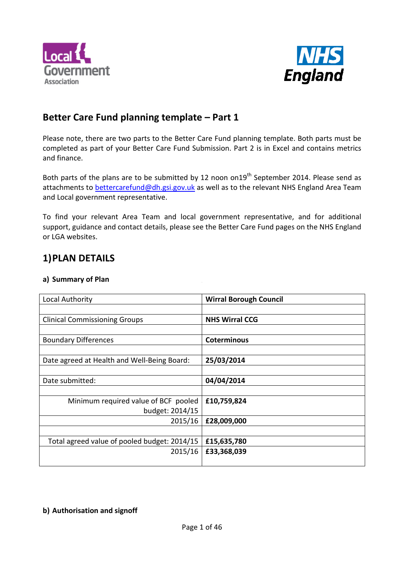



# **Better Care Fund planning template – Part 1**

Please note, there are two parts to the Better Care Fund planning template. Both parts must be completed as part of your Better Care Fund Submission. Part 2 is in Excel and contains metrics and finance.

Both parts of the plans are to be submitted by 12 noon on19<sup>th</sup> September 2014. Please send as attachments to bettercarefund@dh.gsi.gov.uk as well as to the relevant NHS England Area Team and Local government representative.

To find your relevant Area Team and local government representative, and for additional support, guidance and contact details, please see the Better Care Fund pages on the NHS England or LGA websites.

# **1)PLAN DETAILS**

#### **a) Summary of Plan**

| Local Authority                              | <b>Wirral Borough Council</b> |
|----------------------------------------------|-------------------------------|
|                                              |                               |
| <b>Clinical Commissioning Groups</b>         | <b>NHS Wirral CCG</b>         |
|                                              |                               |
| <b>Boundary Differences</b>                  | <b>Coterminous</b>            |
|                                              |                               |
| Date agreed at Health and Well-Being Board:  | 25/03/2014                    |
|                                              |                               |
| Date submitted:                              | 04/04/2014                    |
|                                              |                               |
| Minimum required value of BCF pooled         | £10,759,824                   |
| budget: 2014/15                              |                               |
| 2015/16                                      | £28,009,000                   |
|                                              |                               |
| Total agreed value of pooled budget: 2014/15 | £15,635,780                   |
| 2015/16                                      | £33,368,039                   |
|                                              |                               |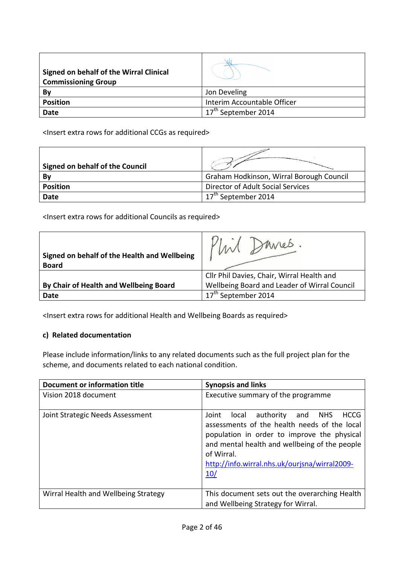| <b>Signed on behalf of the Wirral Clinical</b><br><b>Commissioning Group</b> |                             |
|------------------------------------------------------------------------------|-----------------------------|
| Bv                                                                           | Jon Develing                |
| <b>Position</b>                                                              | Interim Accountable Officer |
| <b>Date</b>                                                                  | September 2014              |

<Insert extra rows for additional CCGs as required>

| Signed on behalf of the Council | ammalind article to provide a series     |
|---------------------------------|------------------------------------------|
| Bv                              | Graham Hodkinson, Wirral Borough Council |
| <b>Position</b>                 | Director of Adult Social Services        |
| <b>Date</b>                     | September 2014                           |

<Insert extra rows for additional Councils as required>

| Signed on behalf of the Health and Wellbeing<br><b>Board</b> | you'res.                                     |
|--------------------------------------------------------------|----------------------------------------------|
|                                                              | Cllr Phil Davies, Chair, Wirral Health and   |
| By Chair of Health and Wellbeing Board                       | Wellbeing Board and Leader of Wirral Council |
| Date                                                         | September 2014                               |

<Insert extra rows for additional Health and Wellbeing Boards as required>

#### **c) Related documentation**

Please include information/links to any related documents such as the full project plan for the scheme, and documents related to each national condition.

| Document or information title        | <b>Synopsis and links</b>                                                                                                                                                                                                                                                             |  |  |  |  |  |
|--------------------------------------|---------------------------------------------------------------------------------------------------------------------------------------------------------------------------------------------------------------------------------------------------------------------------------------|--|--|--|--|--|
| Vision 2018 document                 | Executive summary of the programme                                                                                                                                                                                                                                                    |  |  |  |  |  |
| Joint Strategic Needs Assessment     | authority<br><b>HCCG</b><br>and<br>Joint<br>local<br><b>NHS</b><br>assessments of the health needs of the local<br>population in order to improve the physical<br>and mental health and wellbeing of the people<br>of Wirral.<br>http://info.wirral.nhs.uk/ourjsna/wirral2009-<br>10/ |  |  |  |  |  |
| Wirral Health and Wellbeing Strategy | This document sets out the overarching Health<br>and Wellbeing Strategy for Wirral.                                                                                                                                                                                                   |  |  |  |  |  |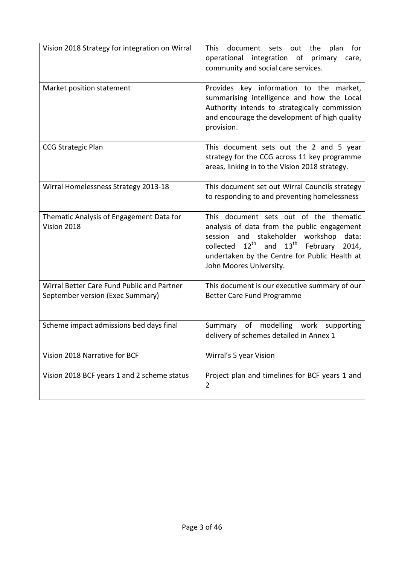| Vision 2018 Strategy for integration on Wirral                                 | This document<br>for<br>sets out<br>the<br>plan<br>operational<br>integration of<br>primary<br>care,<br>community and social care services.                                                                                                                                      |
|--------------------------------------------------------------------------------|----------------------------------------------------------------------------------------------------------------------------------------------------------------------------------------------------------------------------------------------------------------------------------|
| Market position statement                                                      | Provides key information to the market,<br>summarising intelligence and how the Local<br>Authority intends to strategically commission<br>and encourage the development of high quality<br>provision.                                                                            |
| <b>CCG Strategic Plan</b>                                                      | This document sets out the 2 and 5 year<br>strategy for the CCG across 11 key programme<br>areas, linking in to the Vision 2018 strategy.                                                                                                                                        |
| Wirral Homelessness Strategy 2013-18                                           | This document set out Wirral Councils strategy<br>to responding to and preventing homelessness                                                                                                                                                                                   |
| Thematic Analysis of Engagement Data for<br>Vision 2018                        | This document sets out of the thematic<br>analysis of data from the public engagement<br>session and stakeholder workshop data:<br>collected 12 <sup>th</sup> and 13 <sup>th</sup> February<br>2014,<br>undertaken by the Centre for Public Health at<br>John Moores University. |
| Wirral Better Care Fund Public and Partner<br>September version (Exec Summary) | This document is our executive summary of our<br>Better Care Fund Programme                                                                                                                                                                                                      |
| Scheme impact admissions bed days final                                        | Summary of modelling work supporting<br>delivery of schemes detailed in Annex 1                                                                                                                                                                                                  |
| Vision 2018 Narrative for BCF                                                  | Wirral's 5 year Vision                                                                                                                                                                                                                                                           |
| Vision 2018 BCF years 1 and 2 scheme status                                    | Project plan and timelines for BCF years 1 and<br>$\overline{2}$                                                                                                                                                                                                                 |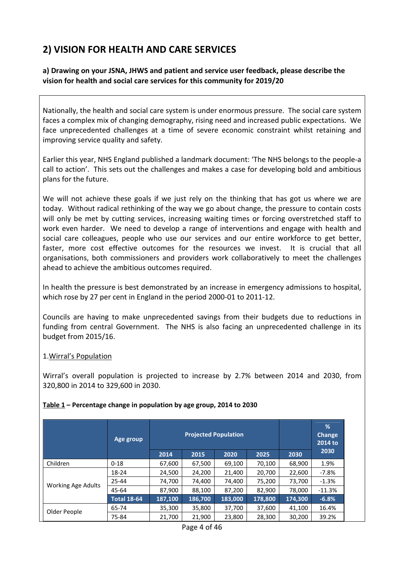# **2) VISION FOR HEALTH AND CARE SERVICES**

#### **a) Drawing on your JSNA, JHWS and patient and service user feedback, please describe the vision for health and social care services for this community for 2019/20**

Nationally, the health and social care system is under enormous pressure. The social care system faces a complex mix of changing demography, rising need and increased public expectations. We face unprecedented challenges at a time of severe economic constraint whilst retaining and improving service quality and safety.

Earlier this year, NHS England published a landmark document: 'The NHS belongs to the people-a call to action'. This sets out the challenges and makes a case for developing bold and ambitious plans for the future.

We will not achieve these goals if we just rely on the thinking that has got us where we are today. Without radical rethinking of the way we go about change, the pressure to contain costs will only be met by cutting services, increasing waiting times or forcing overstretched staff to work even harder. We need to develop a range of interventions and engage with health and social care colleagues, people who use our services and our entire workforce to get better, faster, more cost effective outcomes for the resources we invest. It is crucial that all organisations, both commissioners and providers work collaboratively to meet the challenges ahead to achieve the ambitious outcomes required.

In health the pressure is best demonstrated by an increase in emergency admissions to hospital, which rose by 27 per cent in England in the period 2000-01 to 2011-12.

Councils are having to make unprecedented savings from their budgets due to reductions in funding from central Government. The NHS is also facing an unprecedented challenge in its budget from 2015/16.

#### 1.Wirral's Population

Wirral's overall population is projected to increase by 2.7% between 2014 and 2030, from 320,800 in 2014 to 329,600 in 2030.

|                           | Age group          | <b>Projected Population</b> |         |         |         |         | %<br><b>Change</b><br>2014 to |
|---------------------------|--------------------|-----------------------------|---------|---------|---------|---------|-------------------------------|
|                           |                    | 2014                        | 2015    | 2020    | 2025    | 2030    | 2030                          |
| Children                  | $0 - 18$           | 67,600                      | 67,500  | 69,100  | 70,100  | 68,900  | 1.9%                          |
|                           | 18-24              | 24,500                      | 24,200  | 21,400  | 20,700  | 22,600  | $-7.8%$                       |
|                           | 25-44              | 74,700                      | 74,400  | 74,400  | 75,200  | 73,700  | $-1.3%$                       |
| <b>Working Age Adults</b> | 45-64              | 87,900                      | 88,100  | 87,200  | 82,900  | 78,000  | $-11.3%$                      |
|                           | <b>Total 18-64</b> | 187,100                     | 186,700 | 183,000 | 178,800 | 174,300 | $-6.8%$                       |
|                           | 65-74              | 35,300                      | 35,800  | 37,700  | 37,600  | 41,100  | 16.4%                         |
| Older People              | 75-84              | 21,700                      | 21,900  | 23,800  | 28,300  | 30,200  | 39.2%                         |

#### **Table 1 – Percentage change in population by age group, 2014 to 2030**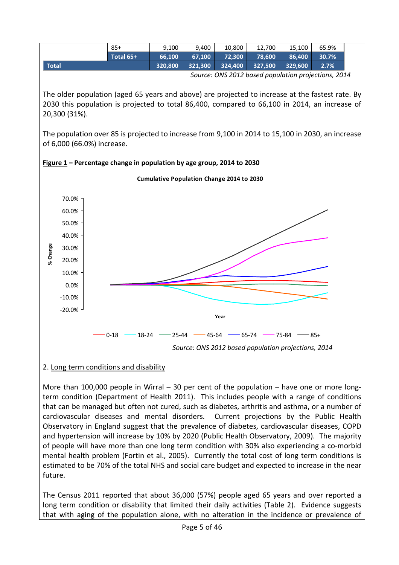

### 2. Long term conditions and disability

More than 100,000 people in Wirral – 30 per cent of the population – have one or more longterm condition (Department of Health 2011). This includes people with a range of conditions that can be managed but often not cured, such as diabetes, arthritis and asthma, or a number of cardiovascular diseases and mental disorders. Current projections by the Public Health Observatory in England suggest that the prevalence of diabetes, cardiovascular diseases, COPD and hypertension will increase by 10% by 2020 (Public Health Observatory, 2009). The majority of people will have more than one long term condition with 30% also experiencing a co-morbid mental health problem (Fortin et al., 2005). Currently the total cost of long term conditions is estimated to be 70% of the total NHS and social care budget and expected to increase in the near future.

The Census 2011 reported that about 36,000 (57%) people aged 65 years and over reported a long term condition or disability that limited their daily activities (Table 2). Evidence suggests that with aging of the population alone, with no alteration in the incidence or prevalence of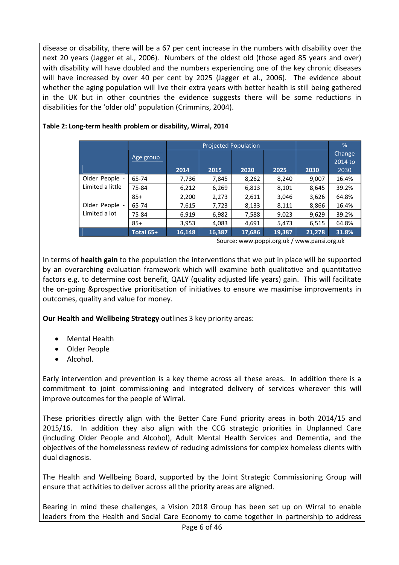disease or disability, there will be a 67 per cent increase in the numbers with disability over the next 20 years (Jagger et al., 2006). Numbers of the oldest old (those aged 85 years and over) with disability will have doubled and the numbers experiencing one of the key chronic diseases will have increased by over 40 per cent by 2025 (Jagger et al., 2006). The evidence about whether the aging population will live their extra years with better health is still being gathered in the UK but in other countries the evidence suggests there will be some reductions in disabilities for the 'older old' population (Crimmins, 2004).

|                  |           |        | <b>Projected Population</b> |        |        | %      |                                  |
|------------------|-----------|--------|-----------------------------|--------|--------|--------|----------------------------------|
|                  | Age group | 2014   | 2015                        | 2020   | 2025   | 2030   | <b>Change</b><br>2014 to<br>2030 |
| Older People -   | 65-74     | 7,736  | 7,845                       | 8,262  | 8,240  | 9,007  | 16.4%                            |
| Limited a little | 75-84     | 6,212  | 6,269                       | 6,813  | 8,101  | 8,645  | 39.2%                            |
|                  | $85+$     | 2,200  | 2,273                       | 2,611  | 3,046  | 3,626  | 64.8%                            |
| Older People -   | 65-74     | 7,615  | 7,723                       | 8,133  | 8,111  | 8,866  | 16.4%                            |
| Limited a lot    | 75-84     | 6,919  | 6,982                       | 7,588  | 9,023  | 9,629  | 39.2%                            |
|                  | $85+$     | 3,953  | 4,083                       | 4,691  | 5,473  | 6,515  | 64.8%                            |
|                  | Total 65+ | 16,148 | 16,387                      | 17,686 | 19,387 | 21,278 | 31.8%                            |

#### **Table 2: Long-term health problem or disability, Wirral, 2014**

Source: www.poppi.org.uk / www.pansi.org.uk

factors e.g. to determine cost benefit, QALY (quality adjusted life years) gain. This will facilitate In terms of **health gain** to the population the interventions that we put in place will be supported by an overarching evaluation framework which will examine both qualitative and quantitative the on-going &prospective prioritisation of initiatives to ensure we maximise improvements in outcomes, quality and value for money.

**Our Health and Wellbeing Strategy** outlines 3 key priority areas:

- Mental Health
- Older People
- Alcohol.

Early intervention and prevention is a key theme across all these areas. In addition there is a commitment to joint commissioning and integrated delivery of services wherever this will improve outcomes for the people of Wirral.

These priorities directly align with the Better Care Fund priority areas in both 2014/15 and 2015/16. In addition they also align with the CCG strategic priorities in Unplanned Care (including Older People and Alcohol), Adult Mental Health Services and Dementia, and the objectives of the homelessness review of reducing admissions for complex homeless clients with dual diagnosis.

The Health and Wellbeing Board, supported by the Joint Strategic Commissioning Group will ensure that activities to deliver across all the priority areas are aligned.

Bearing in mind these challenges, a Vision 2018 Group has been set up on Wirral to enable leaders from the Health and Social Care Economy to come together in partnership to address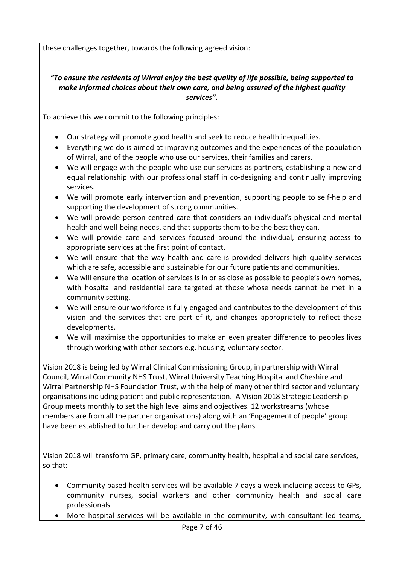these challenges together, towards the following agreed vision:

#### *"To ensure the residents of Wirral enjoy the best quality of life possible, being supported to make informed choices about their own care, and being assured of the highest quality services".*

To achieve this we commit to the following principles:

- Our strategy will promote good health and seek to reduce health inequalities.
- Everything we do is aimed at improving outcomes and the experiences of the population of Wirral, and of the people who use our services, their families and carers.
- We will engage with the people who use our services as partners, establishing a new and equal relationship with our professional staff in co-designing and continually improving services.
- We will promote early intervention and prevention, supporting people to self-help and supporting the development of strong communities.
- We will provide person centred care that considers an individual's physical and mental health and well-being needs, and that supports them to be the best they can.
- We will provide care and services focused around the individual, ensuring access to appropriate services at the first point of contact.
- We will ensure that the way health and care is provided delivers high quality services which are safe, accessible and sustainable for our future patients and communities.
- We will ensure the location of services is in or as close as possible to people's own homes, with hospital and residential care targeted at those whose needs cannot be met in a community setting.
- We will ensure our workforce is fully engaged and contributes to the development of this vision and the services that are part of it, and changes appropriately to reflect these developments.
- We will maximise the opportunities to make an even greater difference to peoples lives through working with other sectors e.g. housing, voluntary sector.

Vision 2018 is being led by Wirral Clinical Commissioning Group, in partnership with Wirral Council, Wirral Community NHS Trust, Wirral University Teaching Hospital and Cheshire and Wirral Partnership NHS Foundation Trust, with the help of many other third sector and voluntary organisations including patient and public representation. A Vision 2018 Strategic Leadership Group meets monthly to set the high level aims and objectives. 12 workstreams (whose members are from all the partner organisations) along with an 'Engagement of people' group have been established to further develop and carry out the plans.

Vision 2018 will transform GP, primary care, community health, hospital and social care services, so that:

- Community based health services will be available 7 days a week including access to GPs, community nurses, social workers and other community health and social care professionals
- More hospital services will be available in the community, with consultant led teams,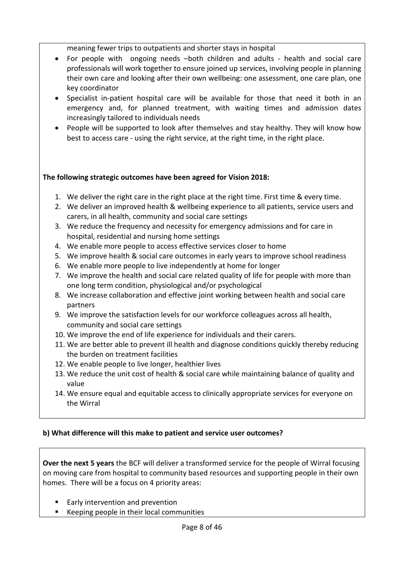meaning fewer trips to outpatients and shorter stays in hospital

- For people with ongoing needs –both children and adults health and social care professionals will work together to ensure joined up services, involving people in planning their own care and looking after their own wellbeing: one assessment, one care plan, one key coordinator
- Specialist in-patient hospital care will be available for those that need it both in an emergency and, for planned treatment, with waiting times and admission dates increasingly tailored to individuals needs
- People will be supported to look after themselves and stay healthy. They will know how best to access care - using the right service, at the right time, in the right place.

#### **The following strategic outcomes have been agreed for Vision 2018:**

- 1. We deliver the right care in the right place at the right time. First time & every time.
- 2. We deliver an improved health & wellbeing experience to all patients, service users and carers, in all health, community and social care settings
- 3. We reduce the frequency and necessity for emergency admissions and for care in hospital, residential and nursing home settings
- 4. We enable more people to access effective services closer to home
- 5. We improve health & social care outcomes in early years to improve school readiness
- 6. We enable more people to live independently at home for longer
- one long term condition, physiological and/or psychological 7. We improve the health and social care related quality of life for people with more than
- 8. We increase collaboration and effective joint working between health and social care partners
- 9. We improve the satisfaction levels for our workforce colleagues across all health, community and social care settings
- 10. We improve the end of life experience for individuals and their carers.
- 11. We are better able to prevent ill health and diagnose conditions quickly thereby reducing the burden on treatment facilities
- 12. We enable people to live longer, healthier lives
- 13. We reduce the unit cost of health & social care while maintaining balance of quality and value
- 14. We ensure equal and equitable access to clinically appropriate services for everyone on the Wirral

#### **b) What difference will this make to patient and service user outcomes?**

**Over the next 5 years** the BCF will deliver a transformed service for the people of Wirral focusing on moving care from hospital to community based resources and supporting people in their own homes. There will be a focus on 4 priority areas:

- Early intervention and prevention
- Keeping people in their local communities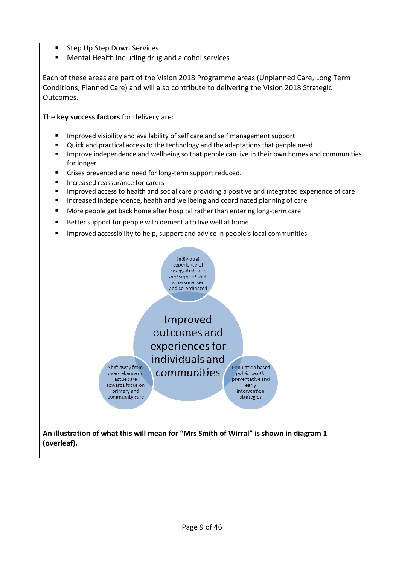- § Step Up Step Down Services
- Mental Health including drug and alcohol services

Each of these areas are part of the Vision 2018 Programme areas (Unplanned Care, Long Term Conditions, Planned Care) and will also contribute to delivering the Vision 2018 Strategic Outcomes.

The **key success factors** for delivery are:

- Improved visibility and availability of self care and self management support
- § Quick and practical access to the technology and the adaptations that people need.
- **■** Improve independence and wellbeing so that people can live in their own homes and communities for longer.
- Crises prevented and need for long-term support reduced.
- Increased reassurance for carers

Shift away from

over-reliance on

actue care towards focus on

primary and

community care

- Improved access to health and social care providing a positive and integrated experience of care
- **■** Increased independence, health and wellbeing and coordinated planning of care
- More people get back home after hospital rather than entering long-term care
- Better support for people with dementia to live well at home
- **■** Improved accessibility to help, support and advice in people's local communities



Improved outcomes and experiences for individuals and communities

Population based bublic health. preventative and early *intervention* strategies

**An illustration of what this will mean for "Mrs Smith of Wirral" is shown in diagram 1 (overleaf).**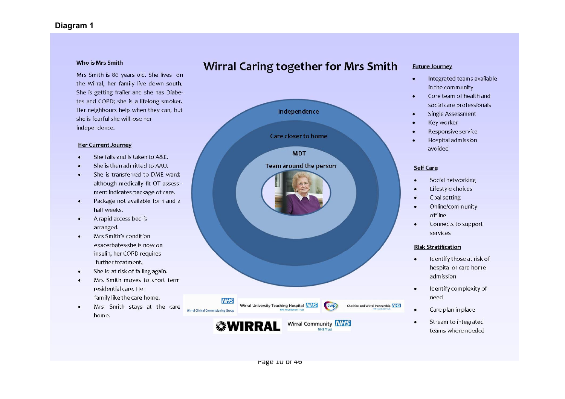#### Who is Mrs Smith

Mrs Smith is 80 years old. She lives on the Wirral, her family live down south. She is getting frailer and she has Diabetes and COPD; she is a lifelong smoker. Her neighbours help when they can, but she is fearful she will lose her independence.

#### **Her Current Journey**

- She falls and is taken to A&F.
- She is then admitted to AAU.
- She is transferred to DME ward; although medically fit OT assessment indicates package of care.
- Package not available for 1 and a  $\bullet$ half weeks.
- A rapid access bed is arranged.
- Mrs Smith's condition  $\bullet$ exacerbates-she is now on insulin, her COPD requires further treatment.
- She is at risk of falling again.
- Mrs Smith moves to short term residential care. Her family like the care home.
- Mrs Smith stays at the care  $\bullet$ home.



#### Wirral Caring together for Mrs Smith **Future Journey**

- Integrated teams available  $\bullet$ in the community
- Core team of health and  $\blacksquare$ social care professionals
- **Single Assessment**  $\bullet$
- Key worker  $\bullet$
- Responsive service
- Hospital admission avoided

#### Self Care

 $\bullet$ 

- Social networking  $\bullet$
- Lifestyle choices  $\bullet$
- **Goal setting**
- Online/community  $\bullet$ offline
- Connects to support services

#### **Risk Stratification**

- Identify those at risk of  $\bullet$ hospital or care home admission
- Identify complexity of need
- Care plan in place
- Stream to integrated teams where needed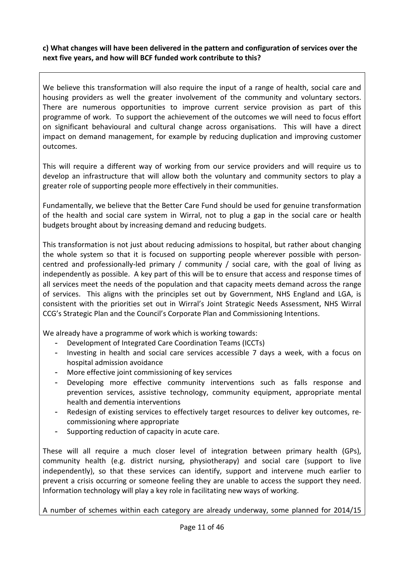#### **c) What changes will have been delivered in the pattern and configuration of services over the next five years, and how will BCF funded work contribute to this?**

We believe this transformation will also require the input of a range of health, social care and housing providers as well the greater involvement of the community and voluntary sectors. There are numerous opportunities to improve current service provision as part of this programme of work. To support the achievement of the outcomes we will need to focus effort on significant behavioural and cultural change across organisations. This will have a direct impact on demand management, for example by reducing duplication and improving customer outcomes.

This will require a different way of working from our service providers and will require us to develop an infrastructure that will allow both the voluntary and community sectors to play a greater role of supporting people more effectively in their communities.

Fundamentally, we believe that the Better Care Fund should be used for genuine transformation of the health and social care system in Wirral, not to plug a gap in the social care or health budgets brought about by increasing demand and reducing budgets.

This transformation is not just about reducing admissions to hospital, but rather about changing the whole system so that it is focused on supporting people wherever possible with personcentred and professionally-led primary / community / social care, with the goal of living as independently as possible. A key part of this will be to ensure that access and response times of all services meet the needs of the population and that capacity meets demand across the range of services. This aligns with the principles set out by Government, NHS England and LGA, is consistent with the priorities set out in Wirral's Joint Strategic Needs Assessment, NHS Wirral CCG's Strategic Plan and the Council's Corporate Plan and Commissioning Intentions.

We already have a programme of work which is working towards:

- Development of Integrated Care Coordination Teams (ICCTs)
- Investing in health and social care services accessible 7 days a week, with a focus on hospital admission avoidance
- More effective joint commissioning of key services
- Developing more effective community interventions such as falls response and prevention services, assistive technology, community equipment, appropriate mental health and dementia interventions
- Redesign of existing services to effectively target resources to deliver key outcomes, recommissioning where appropriate
- Supporting reduction of capacity in acute care.

These will all require a much closer level of integration between primary health (GPs), community health (e.g. district nursing, physiotherapy) and social care (support to live independently), so that these services can identify, support and intervene much earlier to prevent a crisis occurring or someone feeling they are unable to access the support they need. Information technology will play a key role in facilitating new ways of working.

A number of schemes within each category are already underway, some planned for 2014/15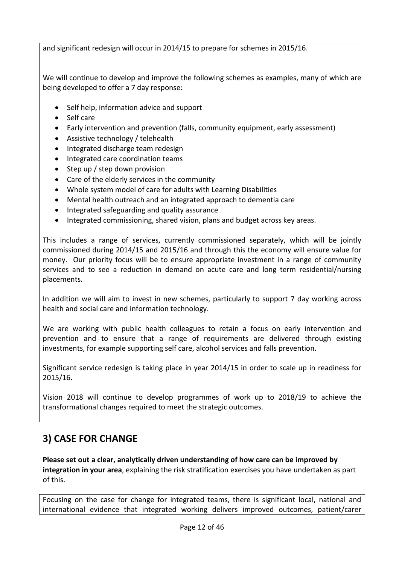and significant redesign will occur in 2014/15 to prepare for schemes in 2015/16.

We will continue to develop and improve the following schemes as examples, many of which are being developed to offer a 7 day response:

- Self help, information advice and support
- Self care
- Early intervention and prevention (falls, community equipment, early assessment)
- Assistive technology / telehealth
- Integrated discharge team redesign
- Integrated care coordination teams
- Step up / step down provision
- Care of the elderly services in the community
- Whole system model of care for adults with Learning Disabilities
- Mental health outreach and an integrated approach to dementia care
- Integrated safeguarding and quality assurance
- Integrated commissioning, shared vision, plans and budget across key areas.

This includes a range of services, currently commissioned separately, which will be jointly commissioned during 2014/15 and 2015/16 and through this the economy will ensure value for money. Our priority focus will be to ensure appropriate investment in a range of community services and to see a reduction in demand on acute care and long term residential/nursing placements.

In addition we will aim to invest in new schemes, particularly to support 7 day working across health and social care and information technology.

We are working with public health colleagues to retain a focus on early intervention and prevention and to ensure that a range of requirements are delivered through existing investments, for example supporting self care, alcohol services and falls prevention.

Significant service redesign is taking place in year 2014/15 in order to scale up in readiness for 2015/16.

Vision 2018 will continue to develop programmes of work up to 2018/19 to achieve the transformational changes required to meet the strategic outcomes.

# **3) CASE FOR CHANGE**

**Please set out a clear, analytically driven understanding of how care can be improved by integration in your area**, explaining the risk stratification exercises you have undertaken as part of this.

Focusing on the case for change for integrated teams, there is significant local, national and international evidence that integrated working delivers improved outcomes, patient/carer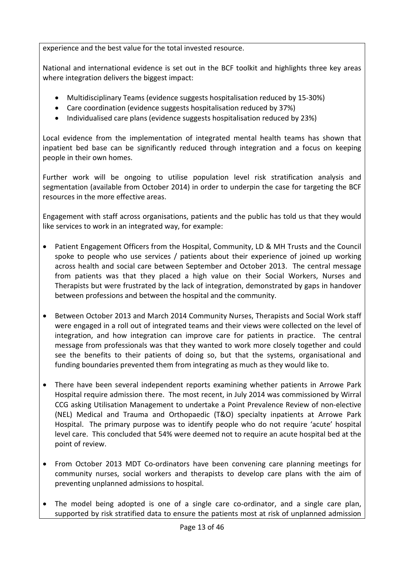experience and the best value for the total invested resource.

National and international evidence is set out in the BCF toolkit and highlights three key areas where integration delivers the biggest impact:

- Multidisciplinary Teams (evidence suggests hospitalisation reduced by 15-30%)
- Care coordination (evidence suggests hospitalisation reduced by 37%)
- Individualised care plans (evidence suggests hospitalisation reduced by 23%)

Local evidence from the implementation of integrated mental health teams has shown that inpatient bed base can be significantly reduced through integration and a focus on keeping people in their own homes.

Further work will be ongoing to utilise population level risk stratification analysis and segmentation (available from October 2014) in order to underpin the case for targeting the BCF resources in the more effective areas.

Engagement with staff across organisations, patients and the public has told us that they would like services to work in an integrated way, for example:

- Patient Engagement Officers from the Hospital, Community, LD & MH Trusts and the Council spoke to people who use services / patients about their experience of joined up working across health and social care between September and October 2013. The central message from patients was that they placed a high value on their Social Workers, Nurses and Therapists but were frustrated by the lack of integration, demonstrated by gaps in handover between professions and between the hospital and the community.
- Between October 2013 and March 2014 Community Nurses, Therapists and Social Work staff were engaged in a roll out of integrated teams and their views were collected on the level of integration, and how integration can improve care for patients in practice. The central message from professionals was that they wanted to work more closely together and could see the benefits to their patients of doing so, but that the systems, organisational and funding boundaries prevented them from integrating as much as they would like to.
- There have been several independent reports examining whether patients in Arrowe Park Hospital require admission there. The most recent, in July 2014 was commissioned by Wirral CCG asking Utilisation Management to undertake a Point Prevalence Review of non-elective (NEL) Medical and Trauma and Orthopaedic (T&O) specialty inpatients at Arrowe Park Hospital. The primary purpose was to identify people who do not require 'acute' hospital level care. This concluded that 54% were deemed not to require an acute hospital bed at the point of review.
- From October 2013 MDT Co-ordinators have been convening care planning meetings for community nurses, social workers and therapists to develop care plans with the aim of preventing unplanned admissions to hospital.
- The model being adopted is one of a single care co-ordinator, and a single care plan, supported by risk stratified data to ensure the patients most at risk of unplanned admission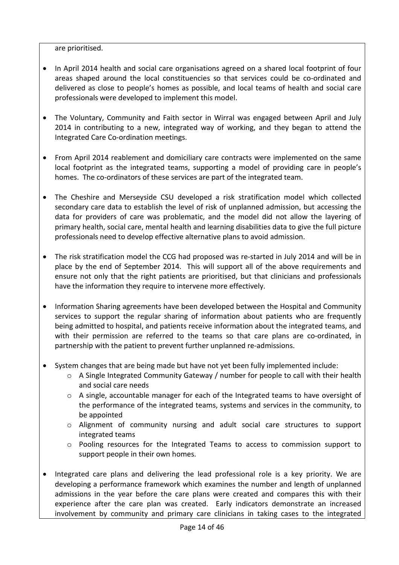are prioritised.

- In April 2014 health and social care organisations agreed on a shared local footprint of four areas shaped around the local constituencies so that services could be co-ordinated and delivered as close to people's homes as possible, and local teams of health and social care professionals were developed to implement this model.
- The Voluntary, Community and Faith sector in Wirral was engaged between April and July 2014 in contributing to a new, integrated way of working, and they began to attend the Integrated Care Co-ordination meetings.
- From April 2014 reablement and domiciliary care contracts were implemented on the same local footprint as the integrated teams, supporting a model of providing care in people's homes. The co-ordinators of these services are part of the integrated team.
- The Cheshire and Merseyside CSU developed a risk stratification model which collected secondary care data to establish the level of risk of unplanned admission, but accessing the data for providers of care was problematic, and the model did not allow the layering of primary health, social care, mental health and learning disabilities data to give the full picture professionals need to develop effective alternative plans to avoid admission.
- The risk stratification model the CCG had proposed was re-started in July 2014 and will be in place by the end of September 2014. This will support all of the above requirements and ensure not only that the right patients are prioritised, but that clinicians and professionals have the information they require to intervene more effectively.
- Information Sharing agreements have been developed between the Hospital and Community services to support the regular sharing of information about patients who are frequently being admitted to hospital, and patients receive information about the integrated teams, and with their permission are referred to the teams so that care plans are co-ordinated, in partnership with the patient to prevent further unplanned re-admissions.
- System changes that are being made but have not yet been fully implemented include:
	- o A Single Integrated Community Gateway / number for people to call with their health and social care needs
	- $\circ$  A single, accountable manager for each of the Integrated teams to have oversight of the performance of the integrated teams, systems and services in the community, to be appointed
	- o Alignment of community nursing and adult social care structures to support integrated teams
	- o Pooling resources for the Integrated Teams to access to commission support to support people in their own homes.
- Integrated care plans and delivering the lead professional role is a key priority. We are developing a performance framework which examines the number and length of unplanned admissions in the year before the care plans were created and compares this with their experience after the care plan was created. Early indicators demonstrate an increased involvement by community and primary care clinicians in taking cases to the integrated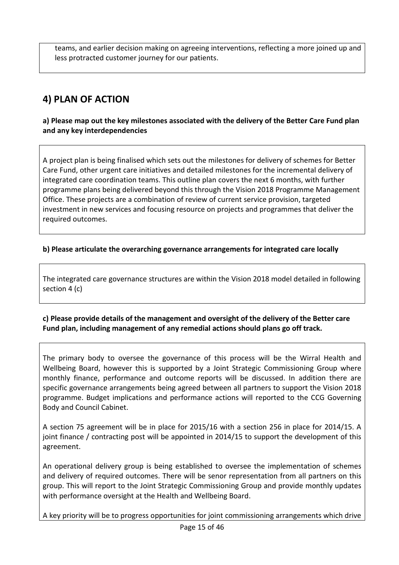teams, and earlier decision making on agreeing interventions, reflecting a more joined up and less protracted customer journey for our patients.

# **4) PLAN OF ACTION**

**a) Please map out the key milestones associated with the delivery of the Better Care Fund plan and any key interdependencies** 

A project plan is being finalised which sets out the milestones for delivery of schemes for Better Care Fund, other urgent care initiatives and detailed milestones for the incremental delivery of integrated care coordination teams. This outline plan covers the next 6 months, with further programme plans being delivered beyond this through the Vision 2018 Programme Management Office. These projects are a combination of review of current service provision, targeted investment in new services and focusing resource on projects and programmes that deliver the required outcomes.

#### **b) Please articulate the overarching governance arrangements for integrated care locally**

The integrated care governance structures are within the Vision 2018 model detailed in following section 4 (c)

### **c) Please provide details of the management and oversight of the delivery of the Better care Fund plan, including management of any remedial actions should plans go off track.**

The primary body to oversee the governance of this process will be the Wirral Health and Wellbeing Board, however this is supported by a Joint Strategic Commissioning Group where monthly finance, performance and outcome reports will be discussed. In addition there are specific governance arrangements being agreed between all partners to support the Vision 2018 programme. Budget implications and performance actions will reported to the CCG Governing Body and Council Cabinet.

A section 75 agreement will be in place for 2015/16 with a section 256 in place for 2014/15. A joint finance / contracting post will be appointed in 2014/15 to support the development of this agreement.

An operational delivery group is being established to oversee the implementation of schemes and delivery of required outcomes. There will be senor representation from all partners on this group. This will report to the Joint Strategic Commissioning Group and provide monthly updates with performance oversight at the Health and Wellbeing Board.

A key priority will be to progress opportunities for joint commissioning arrangements which drive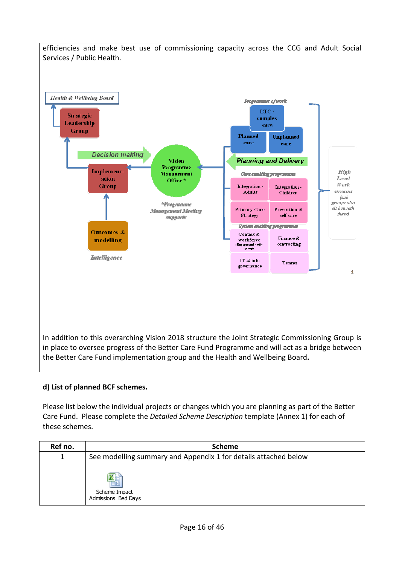

# **d) List of planned BCF schemes.**

Please list below the individual projects or changes which you are planning as part of the Better Care Fund. Please complete the *Detailed Scheme Description* template (Annex 1) for each of these schemes.

| Ref no. | <b>Scheme</b>                                                   |
|---------|-----------------------------------------------------------------|
|         | See modelling summary and Appendix 1 for details attached below |
|         | Scheme Impact<br>Admissions Bed Days                            |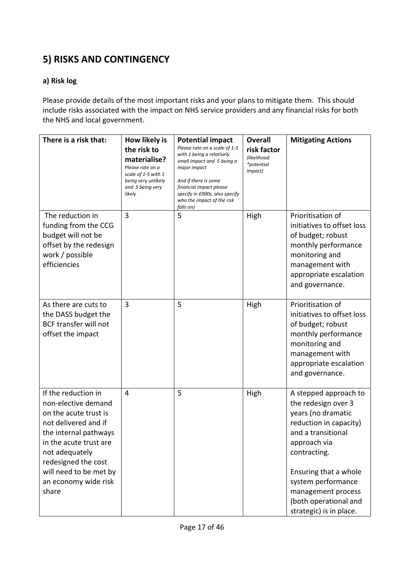# **5) RISKS AND CONTINGENCY**

## **a) Risk log**

Please provide details of the most important risks and your plans to mitigate them. This should include risks associated with the impact on NHS service providers and any financial risks for both the NHS and local government.

| There is a risk that:                                                                                                                                                                                                                              | How likely is<br>the risk to<br>materialise?<br>Please rate on a<br>scale of 1-5 with 1<br>being very unlikely<br>and 5 being very<br>likely | <b>Potential impact</b><br>Please rate on a scale of 1-5<br>with 1 being a relatively<br>small impact and 5 being a<br>major impact<br>And if there is some<br>financial impact please<br>specify in £000s, also specify<br>who the impact of the risk<br>falls on) | <b>Overall</b><br>risk factor<br>(likelihood<br>*potential<br><i>impact</i> ) | <b>Mitigating Actions</b>                                                                                                                                                                                                                                                   |
|----------------------------------------------------------------------------------------------------------------------------------------------------------------------------------------------------------------------------------------------------|----------------------------------------------------------------------------------------------------------------------------------------------|---------------------------------------------------------------------------------------------------------------------------------------------------------------------------------------------------------------------------------------------------------------------|-------------------------------------------------------------------------------|-----------------------------------------------------------------------------------------------------------------------------------------------------------------------------------------------------------------------------------------------------------------------------|
| The reduction in<br>funding from the CCG<br>budget will not be<br>offset by the redesign<br>work / possible<br>efficiencies                                                                                                                        | 3                                                                                                                                            | 5                                                                                                                                                                                                                                                                   | High                                                                          | Prioritisation of<br>initiatives to offset loss<br>of budget; robust<br>monthly performance<br>monitoring and<br>management with<br>appropriate escalation<br>and governance.                                                                                               |
| As there are cuts to<br>the DASS budget the<br><b>BCF transfer will not</b><br>offset the impact                                                                                                                                                   | 3                                                                                                                                            | 5                                                                                                                                                                                                                                                                   | High                                                                          | Prioritisation of<br>initiatives to offset loss<br>of budget; robust<br>monthly performance<br>monitoring and<br>management with<br>appropriate escalation<br>and governance.                                                                                               |
| If the reduction in<br>non-elective demand<br>on the acute trust is<br>not delivered and if<br>the internal pathways<br>in the acute trust are<br>not adequately<br>redesigned the cost<br>will need to be met by<br>an economy wide risk<br>share | 4                                                                                                                                            | 5                                                                                                                                                                                                                                                                   | High                                                                          | A stepped approach to<br>the redesign over 3<br>years (no dramatic<br>reduction in capacity)<br>and a transitional<br>approach via<br>contracting.<br>Ensuring that a whole<br>system performance<br>management process<br>(both operational and<br>strategic) is in place. |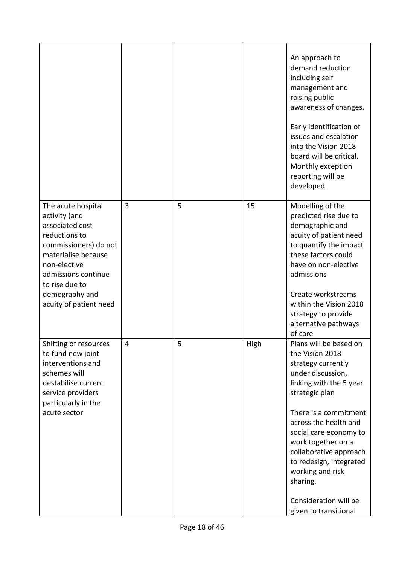|                                                                                                                                                                                                                              |   |   |      | An approach to<br>demand reduction<br>including self<br>management and<br>raising public<br>awareness of changes.<br>Early identification of<br>issues and escalation<br>into the Vision 2018<br>board will be critical.<br>Monthly exception<br>reporting will be<br>developed.                                                                                           |
|------------------------------------------------------------------------------------------------------------------------------------------------------------------------------------------------------------------------------|---|---|------|----------------------------------------------------------------------------------------------------------------------------------------------------------------------------------------------------------------------------------------------------------------------------------------------------------------------------------------------------------------------------|
| The acute hospital<br>activity (and<br>associated cost<br>reductions to<br>commissioners) do not<br>materialise because<br>non-elective<br>admissions continue<br>to rise due to<br>demography and<br>acuity of patient need | 3 | 5 | 15   | Modelling of the<br>predicted rise due to<br>demographic and<br>acuity of patient need<br>to quantify the impact<br>these factors could<br>have on non-elective<br>admissions<br>Create workstreams<br>within the Vision 2018<br>strategy to provide<br>alternative pathways<br>of care                                                                                    |
| Shifting of resources<br>to fund new joint<br>interventions and<br>schemes will<br>destabilise current<br>service providers<br>particularly in the<br>acute sector                                                           | 4 | 5 | High | Plans will be based on<br>the Vision 2018<br>strategy currently<br>under discussion,<br>linking with the 5 year<br>strategic plan<br>There is a commitment<br>across the health and<br>social care economy to<br>work together on a<br>collaborative approach<br>to redesign, integrated<br>working and risk<br>sharing.<br>Consideration will be<br>given to transitional |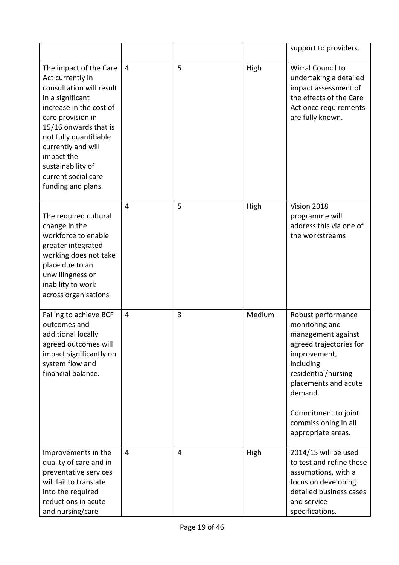|                                                                                                                                                                                                                                                                                                     |                |                |        | support to providers.                                                                                                                                                                                                                             |
|-----------------------------------------------------------------------------------------------------------------------------------------------------------------------------------------------------------------------------------------------------------------------------------------------------|----------------|----------------|--------|---------------------------------------------------------------------------------------------------------------------------------------------------------------------------------------------------------------------------------------------------|
| The impact of the Care<br>Act currently in<br>consultation will result<br>in a significant<br>increase in the cost of<br>care provision in<br>15/16 onwards that is<br>not fully quantifiable<br>currently and will<br>impact the<br>sustainability of<br>current social care<br>funding and plans. | $\overline{4}$ | 5              | High   | <b>Wirral Council to</b><br>undertaking a detailed<br>impact assessment of<br>the effects of the Care<br>Act once requirements<br>are fully known.                                                                                                |
| The required cultural<br>change in the<br>workforce to enable<br>greater integrated<br>working does not take<br>place due to an<br>unwillingness or<br>inability to work<br>across organisations                                                                                                    | $\overline{4}$ | 5              | High   | Vision 2018<br>programme will<br>address this via one of<br>the workstreams                                                                                                                                                                       |
| Failing to achieve BCF<br>outcomes and<br>additional locally<br>agreed outcomes will<br>impact significantly on<br>system flow and<br>financial balance.                                                                                                                                            | $\overline{4}$ | 3              | Medium | Robust performance<br>monitoring and<br>management against<br>agreed trajectories for<br>improvement,<br>including<br>residential/nursing<br>placements and acute<br>demand.<br>Commitment to joint<br>commissioning in all<br>appropriate areas. |
| Improvements in the<br>quality of care and in<br>preventative services<br>will fail to translate<br>into the required<br>reductions in acute<br>and nursing/care                                                                                                                                    | $\overline{4}$ | $\overline{4}$ | High   | 2014/15 will be used<br>to test and refine these<br>assumptions, with a<br>focus on developing<br>detailed business cases<br>and service<br>specifications.                                                                                       |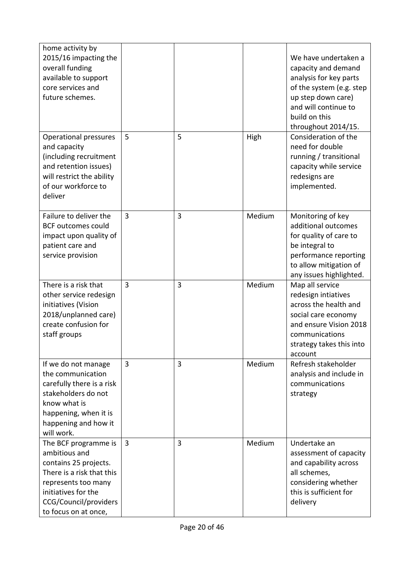| home activity by<br>2015/16 impacting the<br>overall funding<br>available to support<br>core services and<br>future schemes.                                                               |                |                |        | We have undertaken a<br>capacity and demand<br>analysis for key parts<br>of the system (e.g. step<br>up step down care)<br>and will continue to<br>build on this<br>throughout 2014/15. |
|--------------------------------------------------------------------------------------------------------------------------------------------------------------------------------------------|----------------|----------------|--------|-----------------------------------------------------------------------------------------------------------------------------------------------------------------------------------------|
| <b>Operational pressures</b><br>and capacity<br>(including recruitment<br>and retention issues)<br>will restrict the ability<br>of our workforce to<br>deliver                             | 5              | 5              | High   | Consideration of the<br>need for double<br>running / transitional<br>capacity while service<br>redesigns are<br>implemented.                                                            |
| Failure to deliver the<br><b>BCF</b> outcomes could<br>impact upon quality of<br>patient care and<br>service provision                                                                     | $\overline{3}$ | 3              | Medium | Monitoring of key<br>additional outcomes<br>for quality of care to<br>be integral to<br>performance reporting<br>to allow mitigation of<br>any issues highlighted.                      |
| There is a risk that<br>other service redesign<br>initiatives (Vision<br>2018/unplanned care)<br>create confusion for<br>staff groups                                                      | $\overline{3}$ | 3              | Medium | Map all service<br>redesign intiatives<br>across the health and<br>social care economy<br>and ensure Vision 2018<br>communications<br>strategy takes this into<br>account               |
| If we do not manage<br>the communication<br>carefully there is a risk<br>stakeholders do not<br>know what is<br>happening, when it is<br>happening and how it<br>will work.                | 3              | 3              | Medium | Refresh stakeholder<br>analysis and include in<br>communications<br>strategy                                                                                                            |
| The BCF programme is<br>ambitious and<br>contains 25 projects.<br>There is a risk that this<br>represents too many<br>initiatives for the<br>CCG/Council/providers<br>to focus on at once, | $\overline{3}$ | $\overline{3}$ | Medium | Undertake an<br>assessment of capacity<br>and capability across<br>all schemes,<br>considering whether<br>this is sufficient for<br>delivery                                            |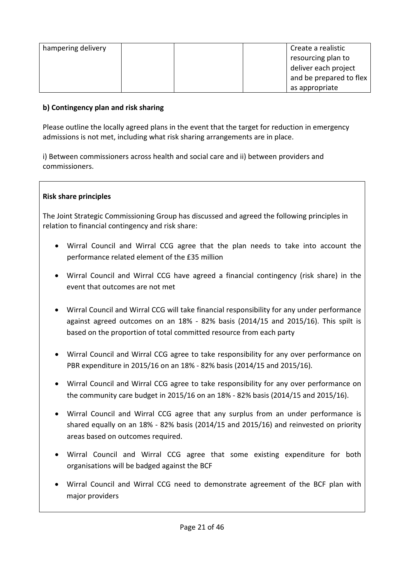| hampering delivery | Create a realistic      |
|--------------------|-------------------------|
|                    | resourcing plan to      |
|                    | deliver each project    |
|                    | and be prepared to flex |
|                    | as appropriate          |

#### **b) Contingency plan and risk sharing**

Please outline the locally agreed plans in the event that the target for reduction in emergency admissions is not met, including what risk sharing arrangements are in place.

i) Between commissioners across health and social care and ii) between providers and commissioners.

#### **Risk share principles**

The Joint Strategic Commissioning Group has discussed and agreed the following principles in relation to financial contingency and risk share:

- Wirral Council and Wirral CCG agree that the plan needs to take into account the performance related element of the £35 million
- Wirral Council and Wirral CCG have agreed a financial contingency (risk share) in the event that outcomes are not met
- Wirral Council and Wirral CCG will take financial responsibility for any under performance against agreed outcomes on an 18% - 82% basis (2014/15 and 2015/16). This spilt is based on the proportion of total committed resource from each party
- Wirral Council and Wirral CCG agree to take responsibility for any over performance on PBR expenditure in 2015/16 on an 18% - 82% basis (2014/15 and 2015/16).
- Wirral Council and Wirral CCG agree to take responsibility for any over performance on the community care budget in 2015/16 on an 18% - 82% basis (2014/15 and 2015/16).
- Wirral Council and Wirral CCG agree that any surplus from an under performance is shared equally on an 18% - 82% basis (2014/15 and 2015/16) and reinvested on priority areas based on outcomes required.
- Wirral Council and Wirral CCG agree that some existing expenditure for both organisations will be badged against the BCF
- Wirral Council and Wirral CCG need to demonstrate agreement of the BCF plan with major providers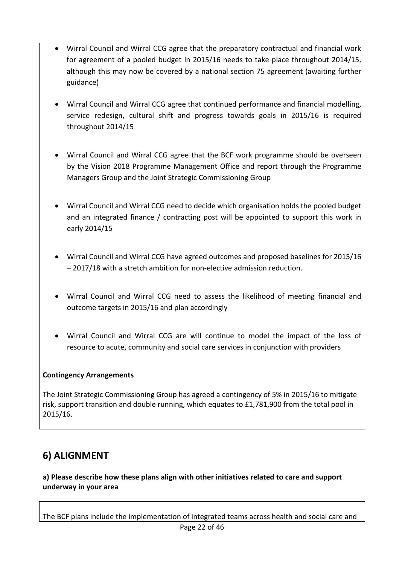- Wirral Council and Wirral CCG agree that the preparatory contractual and financial work for agreement of a pooled budget in 2015/16 needs to take place throughout 2014/15, although this may now be covered by a national section 75 agreement (awaiting further guidance)
- Wirral Council and Wirral CCG agree that continued performance and financial modelling, service redesign, cultural shift and progress towards goals in 2015/16 is required throughout 2014/15
- Wirral Council and Wirral CCG agree that the BCF work programme should be overseen by the Vision 2018 Programme Management Office and report through the Programme Managers Group and the Joint Strategic Commissioning Group
- Wirral Council and Wirral CCG need to decide which organisation holds the pooled budget and an integrated finance / contracting post will be appointed to support this work in early 2014/15
- Wirral Council and Wirral CCG have agreed outcomes and proposed baselines for 2015/16 – 2017/18 with a stretch ambition for non-elective admission reduction.
- Wirral Council and Wirral CCG need to assess the likelihood of meeting financial and outcome targets in 2015/16 and plan accordingly
- Wirral Council and Wirral CCG are will continue to model the impact of the loss of resource to acute, community and social care services in conjunction with providers

### **Contingency Arrangements**

The Joint Strategic Commissioning Group has agreed a contingency of 5% in 2015/16 to mitigate risk, support transition and double running, which equates to £1,781,900 from the total pool in 2015/16.

# **6) ALIGNMENT**

**a) Please describe how these plans align with other initiatives related to care and support underway in your area** 

The BCF plans include the implementation of integrated teams across health and social care and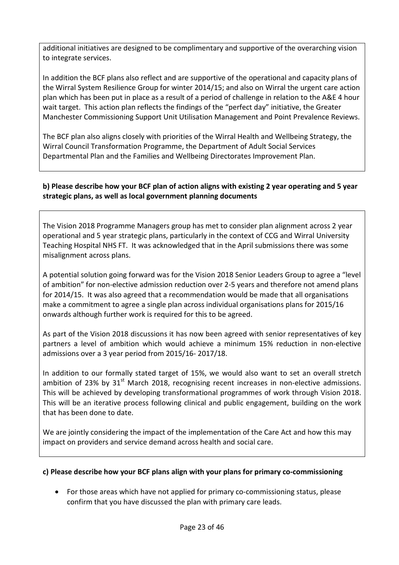additional initiatives are designed to be complimentary and supportive of the overarching vision to integrate services.

In addition the BCF plans also reflect and are supportive of the operational and capacity plans of the Wirral System Resilience Group for winter 2014/15; and also on Wirral the urgent care action plan which has been put in place as a result of a period of challenge in relation to the A&E 4 hour wait target. This action plan reflects the findings of the "perfect day" initiative, the Greater Manchester Commissioning Support Unit Utilisation Management and Point Prevalence Reviews.

The BCF plan also aligns closely with priorities of the Wirral Health and Wellbeing Strategy, the Wirral Council Transformation Programme, the Department of Adult Social Services Departmental Plan and the Families and Wellbeing Directorates Improvement Plan.

#### **b) Please describe how your BCF plan of action aligns with existing 2 year operating and 5 year strategic plans, as well as local government planning documents**

The Vision 2018 Programme Managers group has met to consider plan alignment across 2 year operational and 5 year strategic plans, particularly in the context of CCG and Wirral University Teaching Hospital NHS FT. It was acknowledged that in the April submissions there was some misalignment across plans.

A potential solution going forward was for the Vision 2018 Senior Leaders Group to agree a "level of ambition" for non-elective admission reduction over 2-5 years and therefore not amend plans for 2014/15. It was also agreed that a recommendation would be made that all organisations make a commitment to agree a single plan across individual organisations plans for 2015/16 onwards although further work is required for this to be agreed.

As part of the Vision 2018 discussions it has now been agreed with senior representatives of key partners a level of ambition which would achieve a minimum 15% reduction in non-elective admissions over a 3 year period from 2015/16- 2017/18.

In addition to our formally stated target of 15%, we would also want to set an overall stretch ambition of 23% by  $31<sup>st</sup>$  March 2018, recognising recent increases in non-elective admissions. This will be achieved by developing transformational programmes of work through Vision 2018. This will be an iterative process following clinical and public engagement, building on the work that has been done to date.

We are jointly considering the impact of the implementation of the Care Act and how this may impact on providers and service demand across health and social care.

#### **c) Please describe how your BCF plans align with your plans for primary co-commissioning**

• For those areas which have not applied for primary co-commissioning status, please confirm that you have discussed the plan with primary care leads.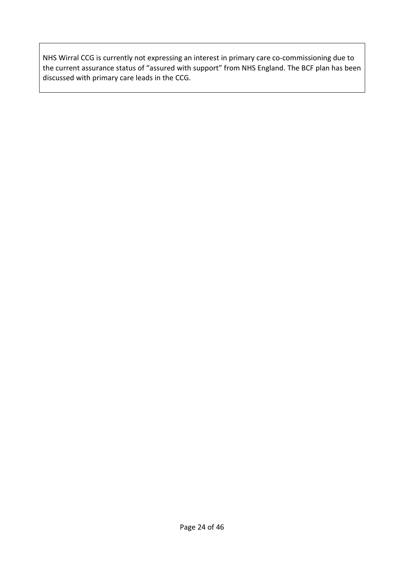NHS Wirral CCG is currently not expressing an interest in primary care co-commissioning due to the current assurance status of "assured with support" from NHS England. The BCF plan has been discussed with primary care leads in the CCG.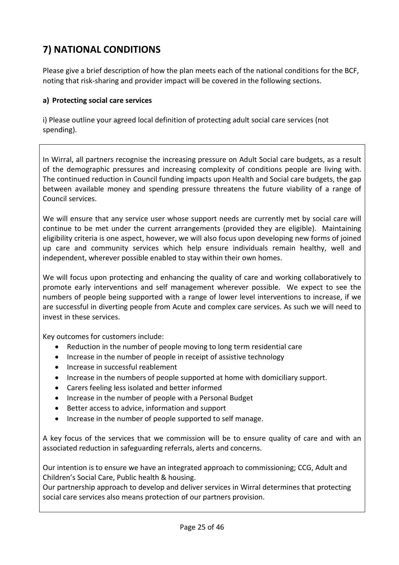# **7) NATIONAL CONDITIONS**

Please give a brief description of how the plan meets each of the national conditions for the BCF, noting that risk-sharing and provider impact will be covered in the following sections.

#### **a) Protecting social care services**

i) Please outline your agreed local definition of protecting adult social care services (not spending).

In Wirral, all partners recognise the increasing pressure on Adult Social care budgets, as a result of the demographic pressures and increasing complexity of conditions people are living with. The continued reduction in Council funding impacts upon Health and Social care budgets, the gap between available money and spending pressure threatens the future viability of a range of Council services.

We will ensure that any service user whose support needs are currently met by social care will continue to be met under the current arrangements (provided they are eligible). Maintaining eligibility criteria is one aspect, however, we will also focus upon developing new forms of joined up care and community services which help ensure individuals remain healthy, well and independent, wherever possible enabled to stay within their own homes.

We will focus upon protecting and enhancing the quality of care and working collaboratively to promote early interventions and self management wherever possible. We expect to see the numbers of people being supported with a range of lower level interventions to increase, if we are successful in diverting people from Acute and complex care services. As such we will need to invest in these services.

Key outcomes for customers include:

- Reduction in the number of people moving to long term residential care
- Increase in the number of people in receipt of assistive technology
- Increase in successful reablement
- Increase in the numbers of people supported at home with domiciliary support.
- Carers feeling less isolated and better informed
- Increase in the number of people with a Personal Budget
- Better access to advice, information and support
- Increase in the number of people supported to self manage.

A key focus of the services that we commission will be to ensure quality of care and with an associated reduction in safeguarding referrals, alerts and concerns.

Our intention is to ensure we have an integrated approach to commissioning; CCG, Adult and Children's Social Care, Public health & housing.

Our partnership approach to develop and deliver services in Wirral determines that protecting social care services also means protection of our partners provision.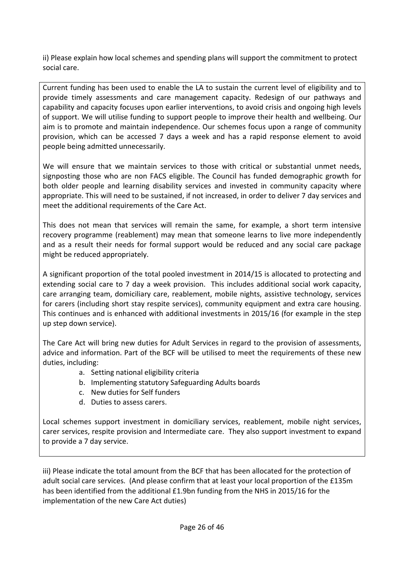ii) Please explain how local schemes and spending plans will support the commitment to protect social care.

Current funding has been used to enable the LA to sustain the current level of eligibility and to provide timely assessments and care management capacity. Redesign of our pathways and capability and capacity focuses upon earlier interventions, to avoid crisis and ongoing high levels of support. We will utilise funding to support people to improve their health and wellbeing. Our aim is to promote and maintain independence. Our schemes focus upon a range of community provision, which can be accessed 7 days a week and has a rapid response element to avoid people being admitted unnecessarily.

We will ensure that we maintain services to those with critical or substantial unmet needs, signposting those who are non FACS eligible. The Council has funded demographic growth for both older people and learning disability services and invested in community capacity where appropriate. This will need to be sustained, if not increased, in order to deliver 7 day services and meet the additional requirements of the Care Act.

This does not mean that services will remain the same, for example, a short term intensive recovery programme (reablement) may mean that someone learns to live more independently and as a result their needs for formal support would be reduced and any social care package might be reduced appropriately.

A significant proportion of the total pooled investment in 2014/15 is allocated to protecting and extending social care to 7 day a week provision. This includes additional social work capacity, care arranging team, domiciliary care, reablement, mobile nights, assistive technology, services for carers (including short stay respite services), community equipment and extra care housing. This continues and is enhanced with additional investments in 2015/16 (for example in the step up step down service).

The Care Act will bring new duties for Adult Services in regard to the provision of assessments, advice and information. Part of the BCF will be utilised to meet the requirements of these new duties, including:

- a. Setting national eligibility criteria
- b. Implementing statutory Safeguarding Adults boards
- c. New duties for Self funders
- d. Duties to assess carers.

Local schemes support investment in domiciliary services, reablement, mobile night services, carer services, respite provision and Intermediate care. They also support investment to expand to provide a 7 day service.

iii) Please indicate the total amount from the BCF that has been allocated for the protection of adult social care services. (And please confirm that at least your local proportion of the £135m has been identified from the additional £1.9bn funding from the NHS in 2015/16 for the implementation of the new Care Act duties)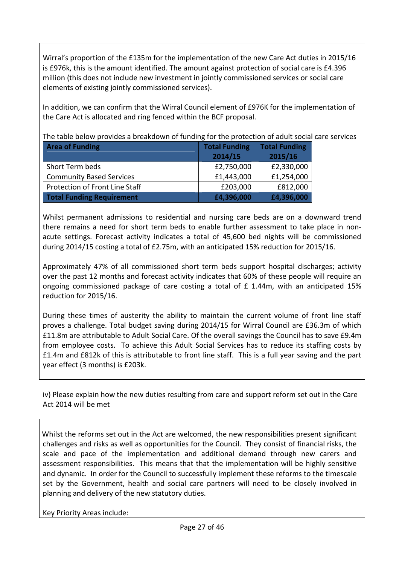Wirral's proportion of the £135m for the implementation of the new Care Act duties in 2015/16 is £976k, this is the amount identified. The amount against protection of social care is £4.396 million (this does not include new investment in jointly commissioned services or social care elements of existing jointly commissioned services).

In addition, we can confirm that the Wirral Council element of £976K for the implementation of the Care Act is allocated and ring fenced within the BCF proposal.

The table below provides a breakdown of funding for the protection of adult social care services

| <b>Area of Funding</b>           | <b>Total Funding</b> | <b>Total Funding</b> |  |
|----------------------------------|----------------------|----------------------|--|
|                                  | 2014/15              | 2015/16              |  |
| Short Term beds                  | £2,750,000           | £2,330,000           |  |
| <b>Community Based Services</b>  | £1,443,000           | £1,254,000           |  |
| Protection of Front Line Staff   | £203,000             | £812,000             |  |
| <b>Total Funding Requirement</b> | £4,396,000           | £4,396,000           |  |

Whilst permanent admissions to residential and nursing care beds are on a downward trend there remains a need for short term beds to enable further assessment to take place in nonacute settings. Forecast activity indicates a total of 45,600 bed nights will be commissioned during 2014/15 costing a total of £2.75m, with an anticipated 15% reduction for 2015/16.

Approximately 47% of all commissioned short term beds support hospital discharges; activity over the past 12 months and forecast activity indicates that 60% of these people will require an ongoing commissioned package of care costing a total of £ 1.44m, with an anticipated 15% reduction for 2015/16.

During these times of austerity the ability to maintain the current volume of front line staff proves a challenge. Total budget saving during 2014/15 for Wirral Council are £36.3m of which £11.8m are attributable to Adult Social Care. Of the overall savings the Council has to save £9.4m from employee costs. To achieve this Adult Social Services has to reduce its staffing costs by £1.4m and £812k of this is attributable to front line staff. This is a full year saving and the part year effect (3 months) is £203k.

iv) Please explain how the new duties resulting from care and support reform set out in the Care Act 2014 will be met

Whilst the reforms set out in the Act are welcomed, the new responsibilities present significant challenges and risks as well as opportunities for the Council. They consist of financial risks, the scale and pace of the implementation and additional demand through new carers and assessment responsibilities. This means that that the implementation will be highly sensitive and dynamic. In order for the Council to successfully implement these reforms to the timescale set by the Government, health and social care partners will need to be closely involved in planning and delivery of the new statutory duties.

Key Priority Areas include: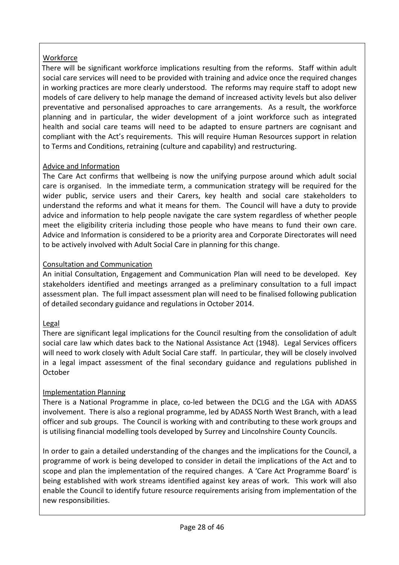## Workforce

There will be significant workforce implications resulting from the reforms. Staff within adult social care services will need to be provided with training and advice once the required changes in working practices are more clearly understood. The reforms may require staff to adopt new models of care delivery to help manage the demand of increased activity levels but also deliver preventative and personalised approaches to care arrangements. As a result, the workforce planning and in particular, the wider development of a joint workforce such as integrated health and social care teams will need to be adapted to ensure partners are cognisant and compliant with the Act's requirements. This will require Human Resources support in relation to Terms and Conditions, retraining (culture and capability) and restructuring.

### Advice and Information

The Care Act confirms that wellbeing is now the unifying purpose around which adult social care is organised. In the immediate term, a communication strategy will be required for the wider public, service users and their Carers, key health and social care stakeholders to understand the reforms and what it means for them. The Council will have a duty to provide advice and information to help people navigate the care system regardless of whether people meet the eligibility criteria including those people who have means to fund their own care. Advice and Information is considered to be a priority area and Corporate Directorates will need to be actively involved with Adult Social Care in planning for this change.

## Consultation and Communication

An initial Consultation, Engagement and Communication Plan will need to be developed. Key stakeholders identified and meetings arranged as a preliminary consultation to a full impact assessment plan. The full impact assessment plan will need to be finalised following publication of detailed secondary guidance and regulations in October 2014.

### Legal

There are significant legal implications for the Council resulting from the consolidation of adult social care law which dates back to the National Assistance Act (1948). Legal Services officers will need to work closely with Adult Social Care staff. In particular, they will be closely involved in a legal impact assessment of the final secondary guidance and regulations published in October

# Implementation Planning

There is a National Programme in place, co-led between the DCLG and the LGA with ADASS involvement. There is also a regional programme, led by ADASS North West Branch, with a lead officer and sub groups. The Council is working with and contributing to these work groups and is utilising financial modelling tools developed by Surrey and Lincolnshire County Councils.

In order to gain a detailed understanding of the changes and the implications for the Council, a programme of work is being developed to consider in detail the implications of the Act and to scope and plan the implementation of the required changes. A 'Care Act Programme Board' is being established with work streams identified against key areas of work. This work will also enable the Council to identify future resource requirements arising from implementation of the new responsibilities.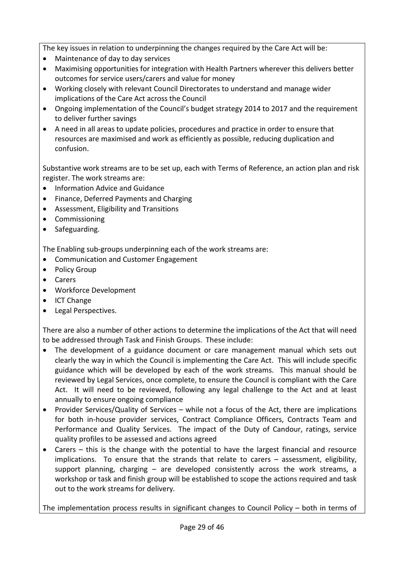The key issues in relation to underpinning the changes required by the Care Act will be:

- Maintenance of day to day services
- Maximising opportunities for integration with Health Partners wherever this delivers better outcomes for service users/carers and value for money
- Working closely with relevant Council Directorates to understand and manage wider implications of the Care Act across the Council
- Ongoing implementation of the Council's budget strategy 2014 to 2017 and the requirement to deliver further savings
- A need in all areas to update policies, procedures and practice in order to ensure that resources are maximised and work as efficiently as possible, reducing duplication and confusion.

Substantive work streams are to be set up, each with Terms of Reference, an action plan and risk register. The work streams are:

- Information Advice and Guidance
- Finance, Deferred Payments and Charging
- Assessment, Eligibility and Transitions
- Commissioning
- Safeguarding.

The Enabling sub-groups underpinning each of the work streams are:

- Communication and Customer Engagement
- Policy Group
- Carers
- Workforce Development
- ICT Change
- Legal Perspectives.

There are also a number of other actions to determine the implications of the Act that will need to be addressed through Task and Finish Groups. These include:

- The development of a guidance document or care management manual which sets out clearly the way in which the Council is implementing the Care Act. This will include specific guidance which will be developed by each of the work streams. This manual should be reviewed by Legal Services, once complete, to ensure the Council is compliant with the Care Act. It will need to be reviewed, following any legal challenge to the Act and at least annually to ensure ongoing compliance
- Provider Services/Quality of Services while not a focus of the Act, there are implications for both in-house provider services, Contract Compliance Officers, Contracts Team and Performance and Quality Services. The impact of the Duty of Candour, ratings, service quality profiles to be assessed and actions agreed
- Carers this is the change with the potential to have the largest financial and resource implications. To ensure that the strands that relate to carers – assessment, eligibility, support planning, charging – are developed consistently across the work streams, a workshop or task and finish group will be established to scope the actions required and task out to the work streams for delivery.

The implementation process results in significant changes to Council Policy – both in terms of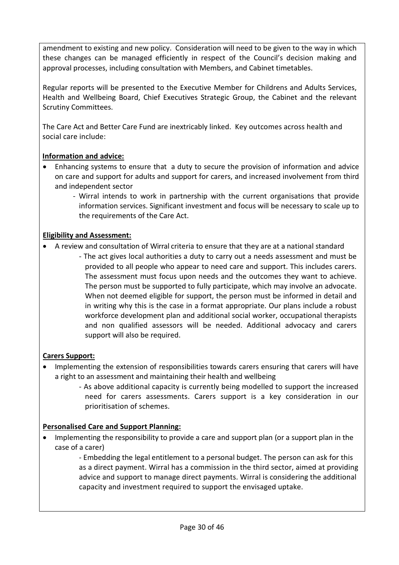amendment to existing and new policy. Consideration will need to be given to the way in which these changes can be managed efficiently in respect of the Council's decision making and approval processes, including consultation with Members, and Cabinet timetables.

Regular reports will be presented to the Executive Member for Childrens and Adults Services, Health and Wellbeing Board, Chief Executives Strategic Group, the Cabinet and the relevant Scrutiny Committees.

The Care Act and Better Care Fund are inextricably linked. Key outcomes across health and social care include:

### **Information and advice:**

- Enhancing systems to ensure that a duty to secure the provision of information and advice on care and support for adults and support for carers, and increased involvement from third and independent sector
	- Wirral intends to work in partnership with the current organisations that provide information services. Significant investment and focus will be necessary to scale up to the requirements of the Care Act.

## **Eligibility and Assessment:**

- A review and consultation of Wirral criteria to ensure that they are at a national standard
	- The act gives local authorities a duty to carry out a needs assessment and must be provided to all people who appear to need care and support. This includes carers. The assessment must focus upon needs and the outcomes they want to achieve. The person must be supported to fully participate, which may involve an advocate. When not deemed eligible for support, the person must be informed in detail and in writing why this is the case in a format appropriate. Our plans include a robust workforce development plan and additional social worker, occupational therapists and non qualified assessors will be needed. Additional advocacy and carers support will also be required.

# **Carers Support:**

- Implementing the extension of responsibilities towards carers ensuring that carers will have a right to an assessment and maintaining their health and wellbeing
	- As above additional capacity is currently being modelled to support the increased need for carers assessments. Carers support is a key consideration in our prioritisation of schemes.

# **Personalised Care and Support Planning:**

• Implementing the responsibility to provide a care and support plan (or a support plan in the case of a carer)

- Embedding the legal entitlement to a personal budget. The person can ask for this as a direct payment. Wirral has a commission in the third sector, aimed at providing advice and support to manage direct payments. Wirral is considering the additional capacity and investment required to support the envisaged uptake.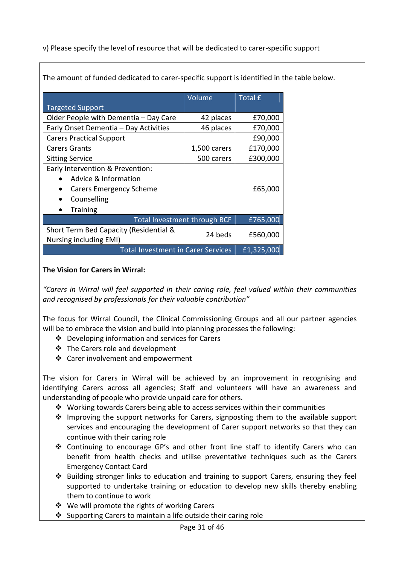v) Please specify the level of resource that will be dedicated to carer-specific support

|                                                                  | Volume       | <b>Total £</b> |
|------------------------------------------------------------------|--------------|----------------|
| <b>Targeted Support</b>                                          |              |                |
| Older People with Dementia - Day Care                            | 42 places    | £70,000        |
| Early Onset Dementia - Day Activities                            | 46 places    | £70,000        |
| <b>Carers Practical Support</b>                                  |              | £90,000        |
| <b>Carers Grants</b>                                             | 1,500 carers | £170,000       |
| <b>Sitting Service</b>                                           | 500 carers   | £300,000       |
| Early Intervention & Prevention:                                 |              |                |
| Advice & Information                                             |              |                |
| Carers Emergency Scheme                                          |              | £65,000        |
| Counselling                                                      |              |                |
| <b>Training</b>                                                  |              |                |
| Total Investment through BCF                                     | £765,000     |                |
| Short Term Bed Capacity (Residential &<br>Nursing including EMI) | 24 beds      | £560,000       |
| <b>Total Investment in Carer Services</b><br>£1,325,000          |              |                |

The amount of funded dedicated to carer-specific support is identified in the table below.

### **The Vision for Carers in Wirral:**

*"Carers in Wirral will feel supported in their caring role, feel valued within their communities and recognised by professionals for their valuable contribution"* 

The focus for Wirral Council, the Clinical Commissioning Groups and all our partner agencies will be to embrace the vision and build into planning processes the following:

- $\div$  Developing information and services for Carers
- v The Carers role and development
- ❖ Carer involvement and empowerment

The vision for Carers in Wirral will be achieved by an improvement in recognising and identifying Carers across all agencies; Staff and volunteers will have an awareness and understanding of people who provide unpaid care for others.

- $\cdot \cdot$  Working towards Carers being able to access services within their communities
- $\triangleq$  Improving the support networks for Carers, signposting them to the available support services and encouraging the development of Carer support networks so that they can continue with their caring role
- \* Continuing to encourage GP's and other front line staff to identify Carers who can benefit from health checks and utilise preventative techniques such as the Carers Emergency Contact Card
- $\cdot \cdot$  Building stronger links to education and training to support Carers, ensuring they feel supported to undertake training or education to develop new skills thereby enabling them to continue to work
- $\div$  We will promote the rights of working Carers
- $\cdot$  Supporting Carers to maintain a life outside their caring role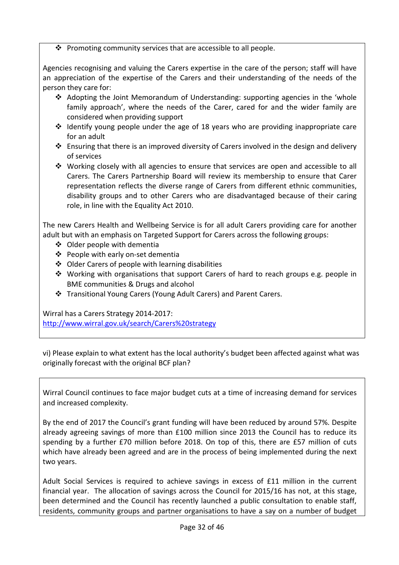$\cdot \cdot$  Promoting community services that are accessible to all people.

Agencies recognising and valuing the Carers expertise in the care of the person; staff will have an appreciation of the expertise of the Carers and their understanding of the needs of the person they care for:

- Adopting the Joint Memorandum of Understanding: supporting agencies in the 'whole family approach', where the needs of the Carer, cared for and the wider family are considered when providing support
- $\cdot$  Identify young people under the age of 18 years who are providing inappropriate care for an adult
- $\cdot$  Ensuring that there is an improved diversity of Carers involved in the design and delivery of services
- $\cdot$  Working closely with all agencies to ensure that services are open and accessible to all Carers. The Carers Partnership Board will review its membership to ensure that Carer representation reflects the diverse range of Carers from different ethnic communities, disability groups and to other Carers who are disadvantaged because of their caring role, in line with the Equality Act 2010.

The new Carers Health and Wellbeing Service is for all adult Carers providing care for another adult but with an emphasis on Targeted Support for Carers across the following groups:

- $\div$  Older people with dementia
- v People with early on-set dementia
- $\triangleleft$  Older Carers of people with learning disabilities
- Working with organisations that support Carers of hard to reach groups e.g. people in BME communities & Drugs and alcohol
- v Transitional Young Carers (Young Adult Carers) and Parent Carers.

Wirral has a Carers Strategy 2014-2017: http://www.wirral.gov.uk/search/Carers%20strategy

vi) Please explain to what extent has the local authority's budget been affected against what was originally forecast with the original BCF plan?

Wirral Council continues to face major budget cuts at a time of increasing demand for services and increased complexity.

By the end of 2017 the Council's grant funding will have been reduced by around 57%. Despite already agreeing savings of more than £100 million since 2013 the Council has to reduce its spending by a further £70 million before 2018. On top of this, there are £57 million of cuts which have already been agreed and are in the process of being implemented during the next two years.

Adult Social Services is required to achieve savings in excess of £11 million in the current financial year. The allocation of savings across the Council for 2015/16 has not, at this stage, been determined and the Council has recently launched a public consultation to enable staff, residents, community groups and partner organisations to have a say on a number of budget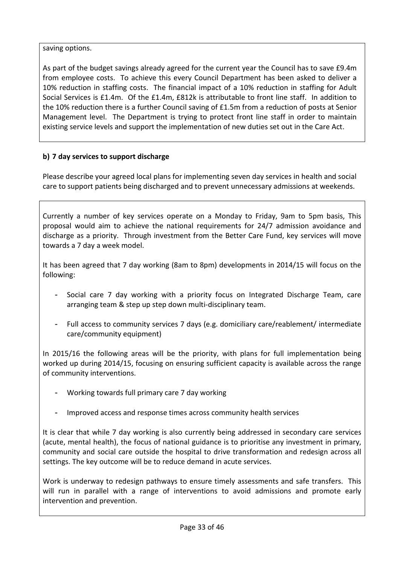## saving options.

As part of the budget savings already agreed for the current year the Council has to save £9.4m from employee costs. To achieve this every Council Department has been asked to deliver a 10% reduction in staffing costs. The financial impact of a 10% reduction in staffing for Adult Social Services is £1.4m. Of the £1.4m, £812k is attributable to front line staff. In addition to the 10% reduction there is a further Council saving of £1.5m from a reduction of posts at Senior Management level. The Department is trying to protect front line staff in order to maintain existing service levels and support the implementation of new duties set out in the Care Act.

# **b) 7 day services to support discharge**

Please describe your agreed local plans for implementing seven day services in health and social care to support patients being discharged and to prevent unnecessary admissions at weekends.

Currently a number of key services operate on a Monday to Friday, 9am to 5pm basis, This proposal would aim to achieve the national requirements for 24/7 admission avoidance and discharge as a priority. Through investment from the Better Care Fund, key services will move towards a 7 day a week model.

It has been agreed that 7 day working (8am to 8pm) developments in 2014/15 will focus on the following:

- Social care 7 day working with a priority focus on Integrated Discharge Team, care arranging team & step up step down multi-disciplinary team.
- Full access to community services 7 days (e.g. domiciliary care/reablement/ intermediate care/community equipment)

In 2015/16 the following areas will be the priority, with plans for full implementation being worked up during 2014/15, focusing on ensuring sufficient capacity is available across the range of community interventions.

- Working towards full primary care 7 day working
- Improved access and response times across community health services

It is clear that while 7 day working is also currently being addressed in secondary care services (acute, mental health), the focus of national guidance is to prioritise any investment in primary, community and social care outside the hospital to drive transformation and redesign across all settings. The key outcome will be to reduce demand in acute services.

Work is underway to redesign pathways to ensure timely assessments and safe transfers. This will run in parallel with a range of interventions to avoid admissions and promote early intervention and prevention.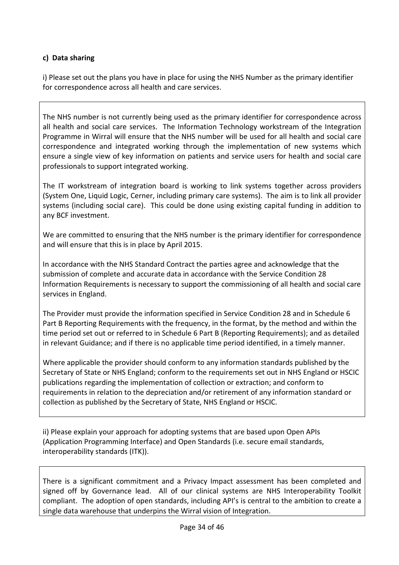### **c) Data sharing**

i) Please set out the plans you have in place for using the NHS Number as the primary identifier for correspondence across all health and care services.

The NHS number is not currently being used as the primary identifier for correspondence across all health and social care services. The Information Technology workstream of the Integration Programme in Wirral will ensure that the NHS number will be used for all health and social care correspondence and integrated working through the implementation of new systems which ensure a single view of key information on patients and service users for health and social care professionals to support integrated working.

The IT workstream of integration board is working to link systems together across providers (System One, Liquid Logic, Cerner, including primary care systems). The aim is to link all provider systems (including social care). This could be done using existing capital funding in addition to any BCF investment.

We are committed to ensuring that the NHS number is the primary identifier for correspondence and will ensure that this is in place by April 2015.

In accordance with the NHS Standard Contract the parties agree and acknowledge that the submission of complete and accurate data in accordance with the Service Condition 28 Information Requirements is necessary to support the commissioning of all health and social care services in England.

The Provider must provide the information specified in Service Condition 28 and in Schedule 6 Part B Reporting Requirements with the frequency, in the format, by the method and within the time period set out or referred to in Schedule 6 Part B (Reporting Requirements); and as detailed in relevant Guidance; and if there is no applicable time period identified, in a timely manner.

Where applicable the provider should conform to any information standards published by the Secretary of State or NHS England; conform to the requirements set out in NHS England or HSCIC publications regarding the implementation of collection or extraction; and conform to requirements in relation to the depreciation and/or retirement of any information standard or collection as published by the Secretary of State, NHS England or HSCIC.

ii) Please explain your approach for adopting systems that are based upon Open APIs (Application Programming Interface) and Open Standards (i.e. secure email standards, interoperability standards (ITK)).

There is a significant commitment and a Privacy Impact assessment has been completed and signed off by Governance lead. All of our clinical systems are NHS Interoperability Toolkit compliant. The adoption of open standards, including API's is central to the ambition to create a single data warehouse that underpins the Wirral vision of Integration.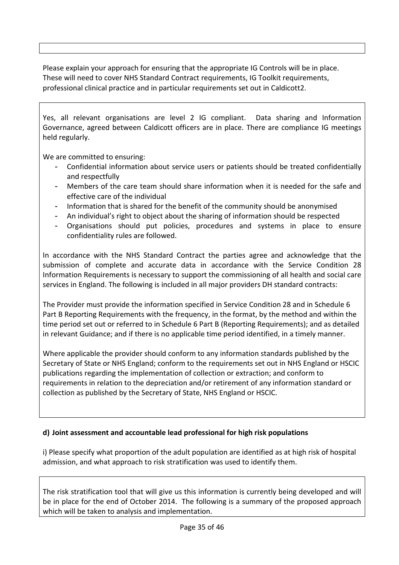Please explain your approach for ensuring that the appropriate IG Controls will be in place. These will need to cover NHS Standard Contract requirements, IG Toolkit requirements, professional clinical practice and in particular requirements set out in Caldicott2.

Yes, all relevant organisations are level 2 IG compliant. Data sharing and Information Governance, agreed between Caldicott officers are in place. There are compliance IG meetings held regularly.

We are committed to ensuring:

- Confidential information about service users or patients should be treated confidentially and respectfully
- Members of the care team should share information when it is needed for the safe and effective care of the individual
- Information that is shared for the benefit of the community should be anonymised
- An individual's right to object about the sharing of information should be respected
- Organisations should put policies, procedures and systems in place to ensure confidentiality rules are followed.

In accordance with the NHS Standard Contract the parties agree and acknowledge that the submission of complete and accurate data in accordance with the Service Condition 28 Information Requirements is necessary to support the commissioning of all health and social care services in England. The following is included in all major providers DH standard contracts:

The Provider must provide the information specified in Service Condition 28 and in Schedule 6 Part B Reporting Requirements with the frequency, in the format, by the method and within the time period set out or referred to in Schedule 6 Part B (Reporting Requirements); and as detailed in relevant Guidance; and if there is no applicable time period identified, in a timely manner.

Where applicable the provider should conform to any information standards published by the Secretary of State or NHS England; conform to the requirements set out in NHS England or HSCIC publications regarding the implementation of collection or extraction; and conform to requirements in relation to the depreciation and/or retirement of any information standard or collection as published by the Secretary of State, NHS England or HSCIC.

# **d) Joint assessment and accountable lead professional for high risk populations**

i) Please specify what proportion of the adult population are identified as at high risk of hospital admission, and what approach to risk stratification was used to identify them.

The risk stratification tool that will give us this information is currently being developed and will be in place for the end of October 2014. The following is a summary of the proposed approach which will be taken to analysis and implementation.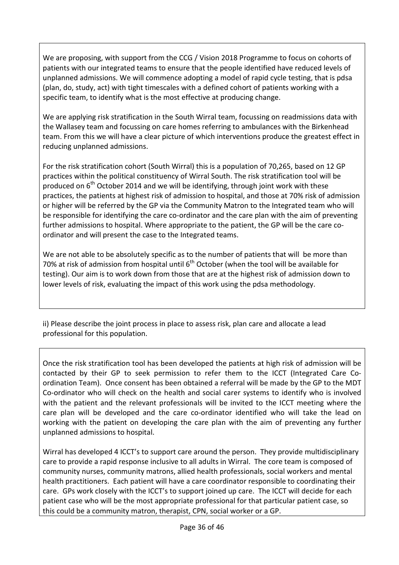We are proposing, with support from the CCG / Vision 2018 Programme to focus on cohorts of patients with our integrated teams to ensure that the people identified have reduced levels of unplanned admissions. We will commence adopting a model of rapid cycle testing, that is pdsa (plan, do, study, act) with tight timescales with a defined cohort of patients working with a specific team, to identify what is the most effective at producing change.

We are applying risk stratification in the South Wirral team, focussing on readmissions data with the Wallasey team and focussing on care homes referring to ambulances with the Birkenhead team. From this we will have a clear picture of which interventions produce the greatest effect in reducing unplanned admissions.

For the risk stratification cohort (South Wirral) this is a population of 70,265, based on 12 GP practices within the political constituency of Wirral South. The risk stratification tool will be produced on  $6<sup>th</sup>$  October 2014 and we will be identifying, through joint work with these practices, the patients at highest risk of admission to hospital, and those at 70% risk of admission or higher will be referred by the GP via the Community Matron to the Integrated team who will be responsible for identifying the care co-ordinator and the care plan with the aim of preventing further admissions to hospital. Where appropriate to the patient, the GP will be the care coordinator and will present the case to the Integrated teams.

We are not able to be absolutely specific as to the number of patients that will be more than 70% at risk of admission from hospital until  $6<sup>th</sup>$  October (when the tool will be available for testing). Our aim is to work down from those that are at the highest risk of admission down to lower levels of risk, evaluating the impact of this work using the pdsa methodology.

ii) Please describe the joint process in place to assess risk, plan care and allocate a lead professional for this population.

Once the risk stratification tool has been developed the patients at high risk of admission will be contacted by their GP to seek permission to refer them to the ICCT (Integrated Care Coordination Team). Once consent has been obtained a referral will be made by the GP to the MDT Co-ordinator who will check on the health and social carer systems to identify who is involved with the patient and the relevant professionals will be invited to the ICCT meeting where the care plan will be developed and the care co-ordinator identified who will take the lead on working with the patient on developing the care plan with the aim of preventing any further unplanned admissions to hospital.

Wirral has developed 4 ICCT's to support care around the person. They provide multidisciplinary care to provide a rapid response inclusive to all adults in Wirral. The core team is composed of community nurses, community matrons, allied health professionals, social workers and mental health practitioners. Each patient will have a care coordinator responsible to coordinating their care. GPs work closely with the ICCT's to support joined up care. The ICCT will decide for each patient case who will be the most appropriate professional for that particular patient case, so this could be a community matron, therapist, CPN, social worker or a GP.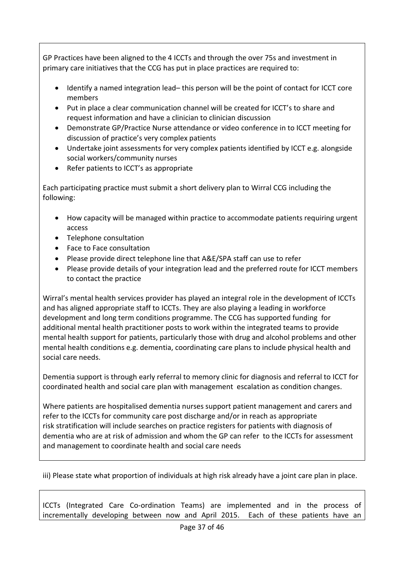GP Practices have been aligned to the 4 ICCTs and through the over 75s and investment in primary care initiatives that the CCG has put in place practices are required to:

- Identify a named integration lead– this person will be the point of contact for ICCT core members
- Put in place a clear communication channel will be created for ICCT's to share and request information and have a clinician to clinician discussion
- Demonstrate GP/Practice Nurse attendance or video conference in to ICCT meeting for discussion of practice's very complex patients
- Undertake joint assessments for very complex patients identified by ICCT e.g. alongside social workers/community nurses
- Refer patients to ICCT's as appropriate

Each participating practice must submit a short delivery plan to Wirral CCG including the following:

- How capacity will be managed within practice to accommodate patients requiring urgent access
- Telephone consultation
- Face to Face consultation
- Please provide direct telephone line that A&E/SPA staff can use to refer
- Please provide details of your integration lead and the preferred route for ICCT members to contact the practice

Wirral's mental health services provider has played an integral role in the development of ICCTs and has aligned appropriate staff to ICCTs. They are also playing a leading in workforce development and long term conditions programme. The CCG has supported funding for additional mental health practitioner posts to work within the integrated teams to provide mental health support for patients, particularly those with drug and alcohol problems and other mental health conditions e.g. dementia, coordinating care plans to include physical health and social care needs.

Dementia support is through early referral to memory clinic for diagnosis and referral to ICCT for coordinated health and social care plan with management escalation as condition changes.

Where patients are hospitalised dementia nurses support patient management and carers and refer to the ICCTs for community care post discharge and/or in reach as appropriate risk stratification will include searches on practice registers for patients with diagnosis of dementia who are at risk of admission and whom the GP can refer to the ICCTs for assessment and management to coordinate health and social care needs

iii) Please state what proportion of individuals at high risk already have a joint care plan in place.

ICCTs (Integrated Care Co-ordination Teams) are implemented and in the process of incrementally developing between now and April 2015. Each of these patients have an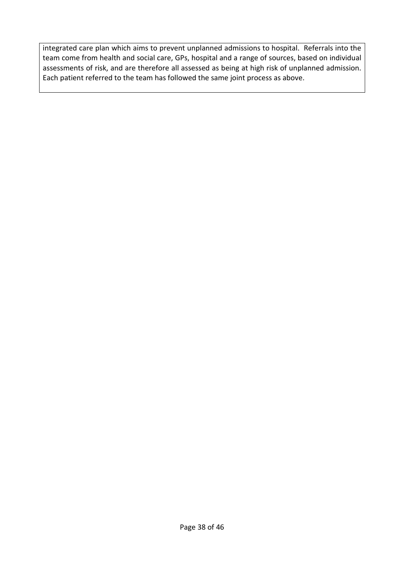integrated care plan which aims to prevent unplanned admissions to hospital. Referrals into the team come from health and social care, GPs, hospital and a range of sources, based on individual assessments of risk, and are therefore all assessed as being at high risk of unplanned admission. Each patient referred to the team has followed the same joint process as above.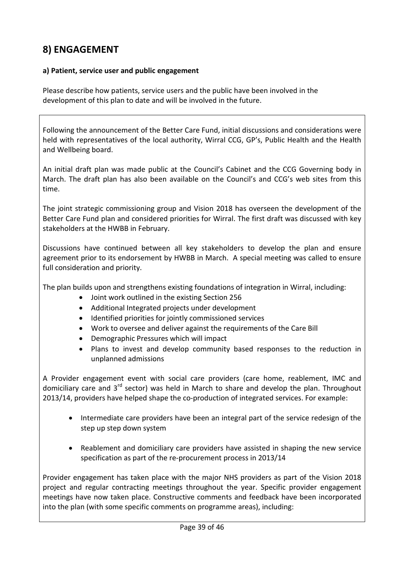# **8) ENGAGEMENT**

#### **a) Patient, service user and public engagement**

Please describe how patients, service users and the public have been involved in the development of this plan to date and will be involved in the future.

Following the announcement of the Better Care Fund, initial discussions and considerations were held with representatives of the local authority, Wirral CCG, GP's, Public Health and the Health and Wellbeing board.

An initial draft plan was made public at the Council's Cabinet and the CCG Governing body in March. The draft plan has also been available on the Council's and CCG's web sites from this time.

The joint strategic commissioning group and Vision 2018 has overseen the development of the Better Care Fund plan and considered priorities for Wirral. The first draft was discussed with key stakeholders at the HWBB in February.

Discussions have continued between all key stakeholders to develop the plan and ensure agreement prior to its endorsement by HWBB in March. A special meeting was called to ensure full consideration and priority.

The plan builds upon and strengthens existing foundations of integration in Wirral, including:

- Joint work outlined in the existing Section 256
- Additional Integrated projects under development
- Identified priorities for jointly commissioned services
- Work to oversee and deliver against the requirements of the Care Bill
- Demographic Pressures which will impact
- Plans to invest and develop community based responses to the reduction in unplanned admissions

A Provider engagement event with social care providers (care home, reablement, IMC and domiciliary care and  $3<sup>rd</sup>$  sector) was held in March to share and develop the plan. Throughout 2013/14, providers have helped shape the co-production of integrated services. For example:

- Intermediate care providers have been an integral part of the service redesign of the step up step down system
- Reablement and domiciliary care providers have assisted in shaping the new service specification as part of the re-procurement process in 2013/14

Provider engagement has taken place with the major NHS providers as part of the Vision 2018 project and regular contracting meetings throughout the year. Specific provider engagement meetings have now taken place. Constructive comments and feedback have been incorporated into the plan (with some specific comments on programme areas), including: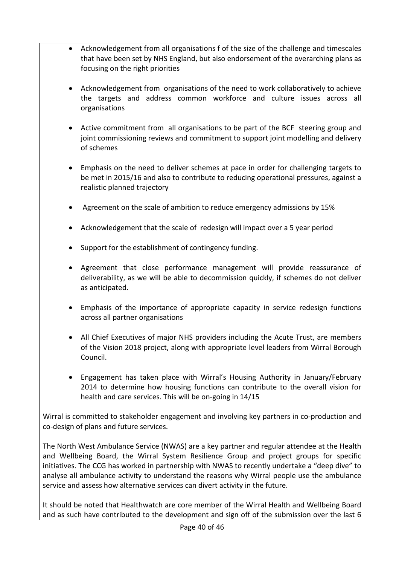- Acknowledgement from all organisations f of the size of the challenge and timescales that have been set by NHS England, but also endorsement of the overarching plans as focusing on the right priorities
- Acknowledgement from organisations of the need to work collaboratively to achieve the targets and address common workforce and culture issues across all organisations
- Active commitment from all organisations to be part of the BCF steering group and joint commissioning reviews and commitment to support joint modelling and delivery of schemes
- Emphasis on the need to deliver schemes at pace in order for challenging targets to be met in 2015/16 and also to contribute to reducing operational pressures, against a realistic planned trajectory
- Agreement on the scale of ambition to reduce emergency admissions by 15%
- Acknowledgement that the scale of redesign will impact over a 5 year period
- Support for the establishment of contingency funding.
- Agreement that close performance management will provide reassurance of deliverability, as we will be able to decommission quickly, if schemes do not deliver as anticipated.
- Emphasis of the importance of appropriate capacity in service redesign functions across all partner organisations
- All Chief Executives of major NHS providers including the Acute Trust, are members of the Vision 2018 project, along with appropriate level leaders from Wirral Borough Council.
- Engagement has taken place with Wirral's Housing Authority in January/February 2014 to determine how housing functions can contribute to the overall vision for health and care services. This will be on-going in 14/15

Wirral is committed to stakeholder engagement and involving key partners in co-production and co-design of plans and future services.

The North West Ambulance Service (NWAS) are a key partner and regular attendee at the Health and Wellbeing Board, the Wirral System Resilience Group and project groups for specific initiatives. The CCG has worked in partnership with NWAS to recently undertake a "deep dive" to analyse all ambulance activity to understand the reasons why Wirral people use the ambulance service and assess how alternative services can divert activity in the future.

It should be noted that Healthwatch are core member of the Wirral Health and Wellbeing Board and as such have contributed to the development and sign off of the submission over the last 6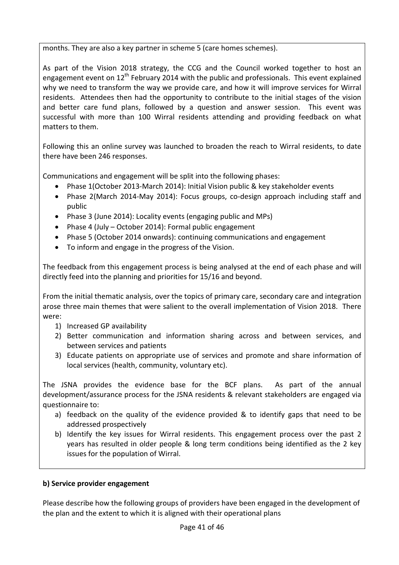months. They are also a key partner in scheme 5 (care homes schemes).

As part of the Vision 2018 strategy, the CCG and the Council worked together to host an engagement event on  $12^{th}$  February 2014 with the public and professionals. This event explained why we need to transform the way we provide care, and how it will improve services for Wirral residents. Attendees then had the opportunity to contribute to the initial stages of the vision and better care fund plans, followed by a question and answer session. This event was successful with more than 100 Wirral residents attending and providing feedback on what matters to them.

Following this an online survey was launched to broaden the reach to Wirral residents, to date there have been 246 responses.

Communications and engagement will be split into the following phases:

- Phase 1(October 2013-March 2014): Initial Vision public & key stakeholder events
- Phase 2(March 2014-May 2014): Focus groups, co-design approach including staff and public
- Phase 3 (June 2014): Locality events (engaging public and MPs)
- Phase 4 (July October 2014): Formal public engagement
- Phase 5 (October 2014 onwards): continuing communications and engagement
- To inform and engage in the progress of the Vision.

The feedback from this engagement process is being analysed at the end of each phase and will directly feed into the planning and priorities for 15/16 and beyond.

From the initial thematic analysis, over the topics of primary care, secondary care and integration arose three main themes that were salient to the overall implementation of Vision 2018. There were:

- 1) Increased GP availability
- 2) Better communication and information sharing across and between services, and between services and patients
- 3) Educate patients on appropriate use of services and promote and share information of local services (health, community, voluntary etc).

The JSNA provides the evidence base for the BCF plans. As part of the annual development/assurance process for the JSNA residents & relevant stakeholders are engaged via questionnaire to:

- a) feedback on the quality of the evidence provided & to identify gaps that need to be addressed prospectively
- b) Identify the key issues for Wirral residents. This engagement process over the past 2 years has resulted in older people & long term conditions being identified as the 2 key issues for the population of Wirral.

### **b) Service provider engagement**

Please describe how the following groups of providers have been engaged in the development of the plan and the extent to which it is aligned with their operational plans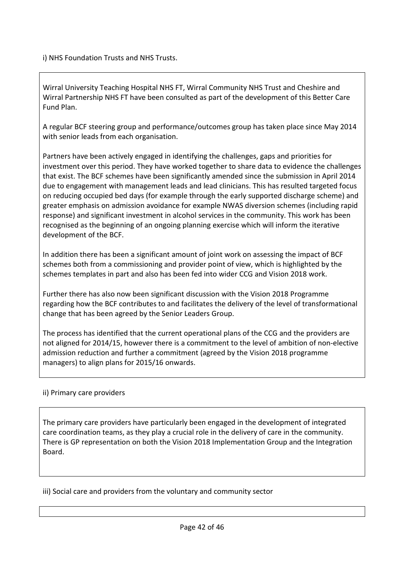i) NHS Foundation Trusts and NHS Trusts.

Wirral University Teaching Hospital NHS FT, Wirral Community NHS Trust and Cheshire and Wirral Partnership NHS FT have been consulted as part of the development of this Better Care Fund Plan.

A regular BCF steering group and performance/outcomes group has taken place since May 2014 with senior leads from each organisation.

Partners have been actively engaged in identifying the challenges, gaps and priorities for investment over this period. They have worked together to share data to evidence the challenges that exist. The BCF schemes have been significantly amended since the submission in April 2014 due to engagement with management leads and lead clinicians. This has resulted targeted focus on reducing occupied bed days (for example through the early supported discharge scheme) and greater emphasis on admission avoidance for example NWAS diversion schemes (including rapid response) and significant investment in alcohol services in the community. This work has been recognised as the beginning of an ongoing planning exercise which will inform the iterative development of the BCF.

In addition there has been a significant amount of joint work on assessing the impact of BCF schemes both from a commissioning and provider point of view, which is highlighted by the schemes templates in part and also has been fed into wider CCG and Vision 2018 work.

Further there has also now been significant discussion with the Vision 2018 Programme regarding how the BCF contributes to and facilitates the delivery of the level of transformational change that has been agreed by the Senior Leaders Group.

The process has identified that the current operational plans of the CCG and the providers are not aligned for 2014/15, however there is a commitment to the level of ambition of non-elective admission reduction and further a commitment (agreed by the Vision 2018 programme managers) to align plans for 2015/16 onwards.

### ii) Primary care providers

The primary care providers have particularly been engaged in the development of integrated care coordination teams, as they play a crucial role in the delivery of care in the community. There is GP representation on both the Vision 2018 Implementation Group and the Integration Board.

iii) Social care and providers from the voluntary and community sector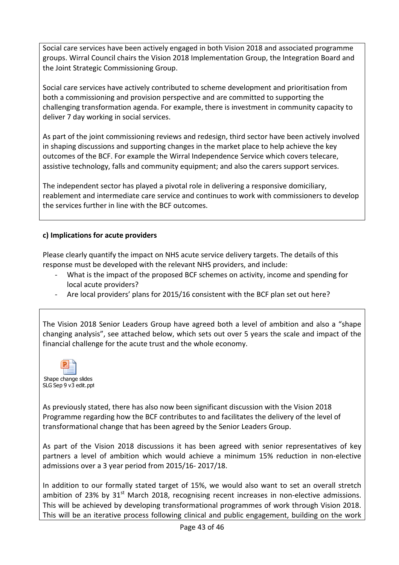Social care services have been actively engaged in both Vision 2018 and associated programme groups. Wirral Council chairs the Vision 2018 Implementation Group, the Integration Board and the Joint Strategic Commissioning Group.

Social care services have actively contributed to scheme development and prioritisation from both a commissioning and provision perspective and are committed to supporting the challenging transformation agenda. For example, there is investment in community capacity to deliver 7 day working in social services.

As part of the joint commissioning reviews and redesign, third sector have been actively involved in shaping discussions and supporting changes in the market place to help achieve the key outcomes of the BCF. For example the Wirral Independence Service which covers telecare, assistive technology, falls and community equipment; and also the carers support services.

The independent sector has played a pivotal role in delivering a responsive domiciliary, reablement and intermediate care service and continues to work with commissioners to develop the services further in line with the BCF outcomes.

### **c) Implications for acute providers**

Please clearly quantify the impact on NHS acute service delivery targets. The details of this response must be developed with the relevant NHS providers, and include:

- What is the impact of the proposed BCF schemes on activity, income and spending for local acute providers?
- Are local providers' plans for 2015/16 consistent with the BCF plan set out here?

The Vision 2018 Senior Leaders Group have agreed both a level of ambition and also a "shape changing analysis", see attached below, which sets out over 5 years the scale and impact of the financial challenge for the acute trust and the whole economy.



As previously stated, there has also now been significant discussion with the Vision 2018 Programme regarding how the BCF contributes to and facilitates the delivery of the level of transformational change that has been agreed by the Senior Leaders Group.

As part of the Vision 2018 discussions it has been agreed with senior representatives of key partners a level of ambition which would achieve a minimum 15% reduction in non-elective admissions over a 3 year period from 2015/16- 2017/18.

In addition to our formally stated target of 15%, we would also want to set an overall stretch ambition of 23% by  $31<sup>st</sup>$  March 2018, recognising recent increases in non-elective admissions. This will be achieved by developing transformational programmes of work through Vision 2018. This will be an iterative process following clinical and public engagement, building on the work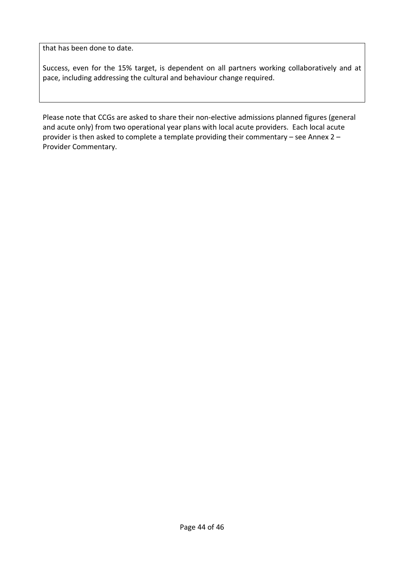that has been done to date.

Success, even for the 15% target, is dependent on all partners working collaboratively and at pace, including addressing the cultural and behaviour change required.

Please note that CCGs are asked to share their non-elective admissions planned figures (general and acute only) from two operational year plans with local acute providers. Each local acute provider is then asked to complete a template providing their commentary – see Annex 2 – Provider Commentary.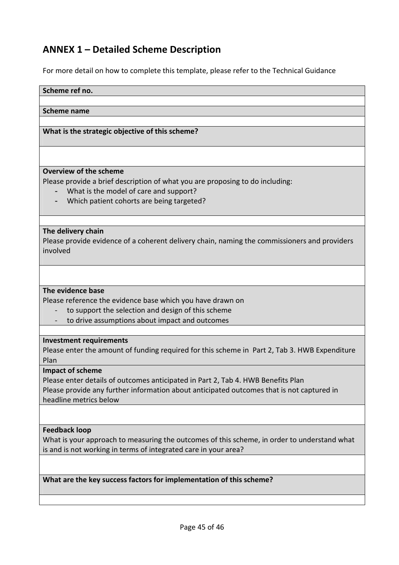# **ANNEX 1 – Detailed Scheme Description**

For more detail on how to complete this template, please refer to the Technical Guidance

#### **Scheme ref no.**

#### **Scheme name**

#### **What is the strategic objective of this scheme?**

#### **Overview of the scheme**

Please provide a brief description of what you are proposing to do including:

- What is the model of care and support?
- Which patient cohorts are being targeted?

#### **The delivery chain**

Please provide evidence of a coherent delivery chain, naming the commissioners and providers involved

#### **The evidence base**

Please reference the evidence base which you have drawn on

- to support the selection and design of this scheme
- to drive assumptions about impact and outcomes

#### **Investment requirements**

Please enter the amount of funding required for this scheme in Part 2, Tab 3. HWB Expenditure Plan

#### **Impact of scheme**

Please enter details of outcomes anticipated in Part 2, Tab 4. HWB Benefits Plan Please provide any further information about anticipated outcomes that is not captured in headline metrics below

#### **Feedback loop**

What is your approach to measuring the outcomes of this scheme, in order to understand what is and is not working in terms of integrated care in your area?

**What are the key success factors for implementation of this scheme?**